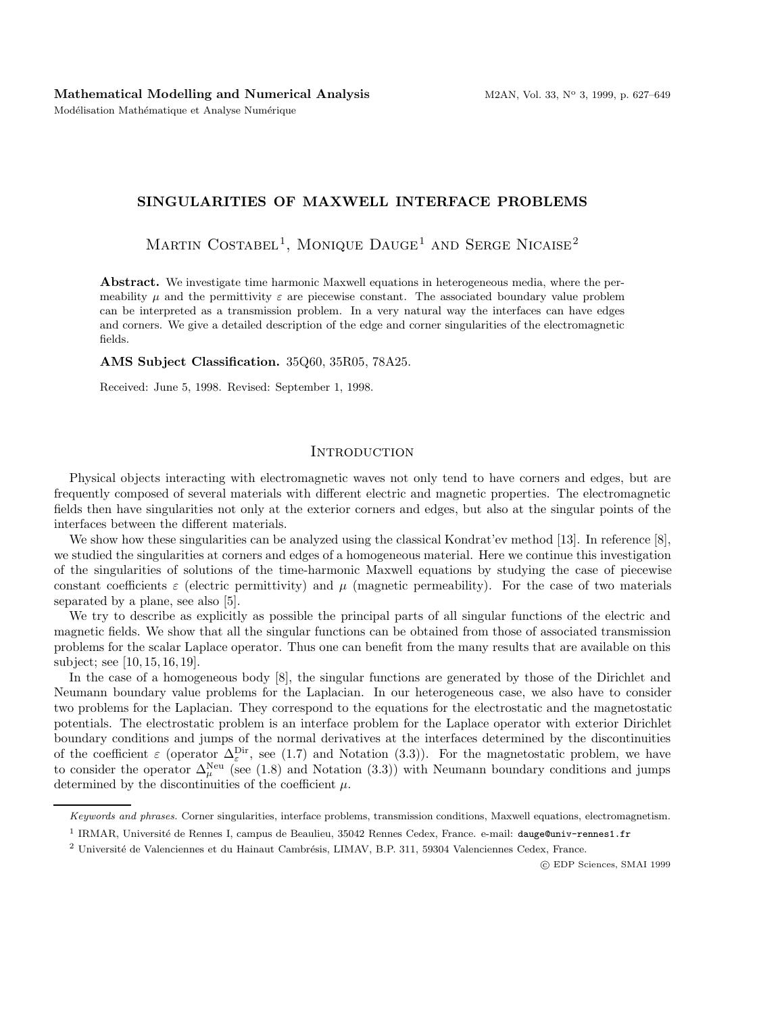Modélisation Mathématique et Analyse Numérique

# **SINGULARITIES OF MAXWELL INTERFACE PROBLEMS**

MARTIN COSTABEL<sup>1</sup>, MONIQUE DAUGE<sup>1</sup> AND SERGE NICAISE<sup>2</sup>

**Abstract.** We investigate time harmonic Maxwell equations in heterogeneous media, where the permeability  $\mu$  and the permittivity  $\varepsilon$  are piecewise constant. The associated boundary value problem can be interpreted as a transmission problem. In a very natural way the interfaces can have edges and corners. We give a detailed description of the edge and corner singularities of the electromagnetic fields.

**AMS Subject Classification.** 35Q60, 35R05, 78A25.

Received: June 5, 1998. Revised: September 1, 1998.

# **INTRODUCTION**

Physical objects interacting with electromagnetic waves not only tend to have corners and edges, but are frequently composed of several materials with different electric and magnetic properties. The electromagnetic fields then have singularities not only at the exterior corners and edges, but also at the singular points of the interfaces between the different materials.

We show how these singularities can be analyzed using the classical Kondrat'ev method [13]. In reference [8], we studied the singularities at corners and edges of a homogeneous material. Here we continue this investigation of the singularities of solutions of the time-harmonic Maxwell equations by studying the case of piecewise constant coefficients  $\varepsilon$  (electric permittivity) and  $\mu$  (magnetic permeability). For the case of two materials separated by a plane, see also [5].

We try to describe as explicitly as possible the principal parts of all singular functions of the electric and magnetic fields. We show that all the singular functions can be obtained from those of associated transmission problems for the scalar Laplace operator. Thus one can benefit from the many results that are available on this subject; see [10, 15, 16, 19].

In the case of a homogeneous body [8], the singular functions are generated by those of the Dirichlet and Neumann boundary value problems for the Laplacian. In our heterogeneous case, we also have to consider two problems for the Laplacian. They correspond to the equations for the electrostatic and the magnetostatic potentials. The electrostatic problem is an interface problem for the Laplace operator with exterior Dirichlet boundary conditions and jumps of the normal derivatives at the interfaces determined by the discontinuities of the coefficient  $\varepsilon$  (operator  $\Delta_{\varepsilon}^{\text{Dir}}$ , see (1.7) and Notation (3.3)). For the magnetostatic problem, we have to consider the operator  $\Delta_{\mu}^{\text{Neu}}$  (see (1.8) and Notation (3.3)) with Neumann boundary conditions and jumps determined by the discontinuities of the coefficient  $\mu$ .

c EDP Sciences, SMAI 1999

Keywords and phrases. Corner singularities, interface problems, transmission conditions, Maxwell equations, electromagnetism.

<sup>&</sup>lt;sup>1</sup> IRMAR, Université de Rennes I, campus de Beaulieu, 35042 Rennes Cedex, France. e-mail: dauge@univ-rennes1.fr

<sup>&</sup>lt;sup>2</sup> Université de Valenciennes et du Hainaut Cambrésis, LIMAV, B.P. 311, 59304 Valenciennes Cedex, France.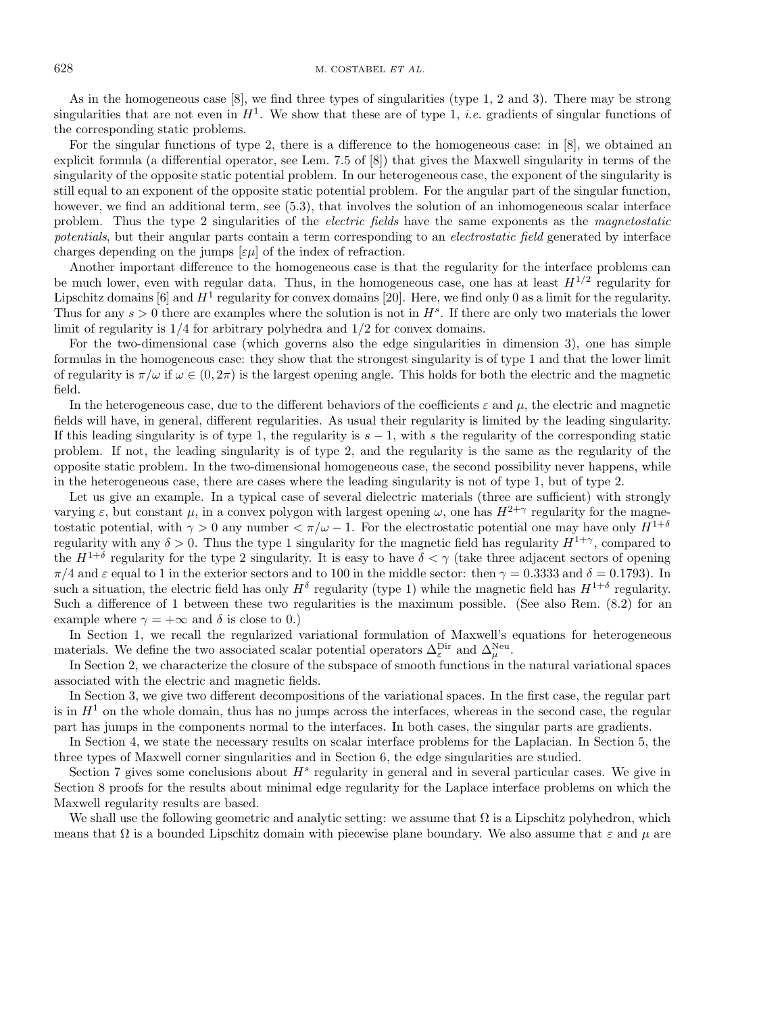#### 628 M. COSTABEL  $ETAL$ .

As in the homogeneous case [8], we find three types of singularities (type 1, 2 and 3). There may be strong singularities that are not even in  $H^1$ . We show that these are of type 1, *i.e.* gradients of singular functions of the corresponding static problems.

For the singular functions of type 2, there is a difference to the homogeneous case: in [8], we obtained an explicit formula (a differential operator, see Lem. 7.5 of [8]) that gives the Maxwell singularity in terms of the singularity of the opposite static potential problem. In our heterogeneous case, the exponent of the singularity is still equal to an exponent of the opposite static potential problem. For the angular part of the singular function, however, we find an additional term, see (5.3), that involves the solution of an inhomogeneous scalar interface problem. Thus the type 2 singularities of the electric fields have the same exponents as the magnetostatic potentials, but their angular parts contain a term corresponding to an *electrostatic field* generated by interface charges depending on the jumps  $[\varepsilon \mu]$  of the index of refraction.

Another important difference to the homogeneous case is that the regularity for the interface problems can be much lower, even with regular data. Thus, in the homogeneous case, one has at least  $H^{1/2}$  regularity for Lipschitz domains  $[6]$  and  $H^1$  regularity for convex domains  $[20]$ . Here, we find only 0 as a limit for the regularity. Thus for any  $s > 0$  there are examples where the solution is not in  $H<sup>s</sup>$ . If there are only two materials the lower limit of regularity is  $1/4$  for arbitrary polyhedra and  $1/2$  for convex domains.

For the two-dimensional case (which governs also the edge singularities in dimension 3), one has simple formulas in the homogeneous case: they show that the strongest singularity is of type 1 and that the lower limit of regularity is  $\pi/\omega$  if  $\omega \in (0, 2\pi)$  is the largest opening angle. This holds for both the electric and the magnetic field.

In the heterogeneous case, due to the different behaviors of the coefficients  $\varepsilon$  and  $\mu$ , the electric and magnetic fields will have, in general, different regularities. As usual their regularity is limited by the leading singularity. If this leading singularity is of type 1, the regularity is  $s - 1$ , with s the regularity of the corresponding static problem. If not, the leading singularity is of type 2, and the regularity is the same as the regularity of the opposite static problem. In the two-dimensional homogeneous case, the second possibility never happens, while in the heterogeneous case, there are cases where the leading singularity is not of type 1, but of type 2.

Let us give an example. In a typical case of several dielectric materials (three are sufficient) with strongly varying  $\varepsilon$ , but constant  $\mu$ , in a convex polygon with largest opening  $\omega$ , one has  $H^{2+\gamma}$  regularity for the magnetostatic potential, with  $\gamma > 0$  any number  $\langle \pi/\omega - 1$ . For the electrostatic potential one may have only  $H^{1+\delta}$ regularity with any  $\delta > 0$ . Thus the type 1 singularity for the magnetic field has regularity  $H^{1+\gamma}$ , compared to the  $H^{1+\delta}$  regularity for the type 2 singularity. It is easy to have  $\delta < \gamma$  (take three adjacent sectors of opening  $\pi/4$  and  $\varepsilon$  equal to 1 in the exterior sectors and to 100 in the middle sector: then  $\gamma = 0.3333$  and  $\delta = 0.1793$ ). In such a situation, the electric field has only  $H^{\delta}$  regularity (type 1) while the magnetic field has  $H^{1+\delta}$  regularity. Such a difference of 1 between these two regularities is the maximum possible. (See also Rem.  $(8.2)$  for an example where  $\gamma = +\infty$  and  $\delta$  is close to 0.)

In Section 1, we recall the regularized variational formulation of Maxwell's equations for heterogeneous materials. We define the two associated scalar potential operators  $\Delta_{\varepsilon}^{\text{Dir}}$  and  $\Delta_{\mu}^{\text{Neu}}$ .

In Section 2, we characterize the closure of the subspace of smooth functions in the natural variational spaces associated with the electric and magnetic fields.

In Section 3, we give two different decompositions of the variational spaces. In the first case, the regular part is in  $H<sup>1</sup>$  on the whole domain, thus has no jumps across the interfaces, whereas in the second case, the regular part has jumps in the components normal to the interfaces. In both cases, the singular parts are gradients.

In Section 4, we state the necessary results on scalar interface problems for the Laplacian. In Section 5, the three types of Maxwell corner singularities and in Section 6, the edge singularities are studied.

Section 7 gives some conclusions about  $H<sup>s</sup>$  regularity in general and in several particular cases. We give in Section 8 proofs for the results about minimal edge regularity for the Laplace interface problems on which the Maxwell regularity results are based.

We shall use the following geometric and analytic setting: we assume that  $\Omega$  is a Lipschitz polyhedron, which means that  $\Omega$  is a bounded Lipschitz domain with piecewise plane boundary. We also assume that  $\varepsilon$  and  $\mu$  are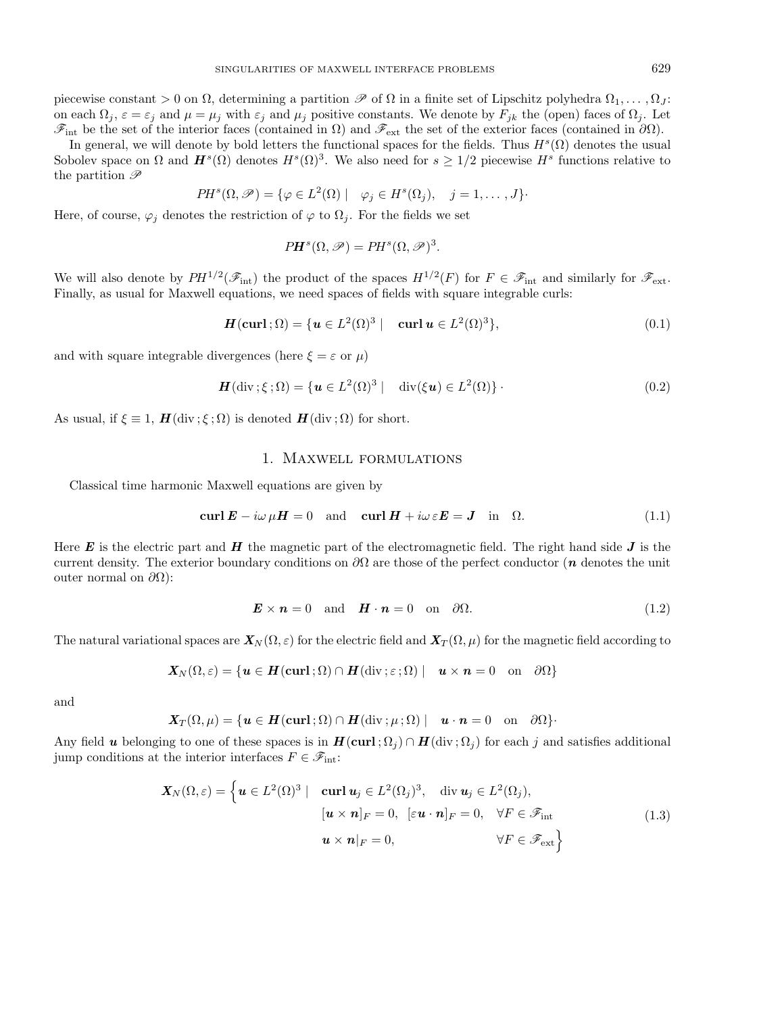piecewise constant > 0 on  $\Omega$ , determining a partition  $\mathscr P$  of  $\Omega$  in a finite set of Lipschitz polyhedra  $\Omega_1,\ldots,\Omega_J$ : on each  $\Omega_j$ ,  $\varepsilon = \varepsilon_j$  and  $\mu = \mu_j$  with  $\varepsilon_j$  and  $\mu_j$  positive constants. We denote by  $F_{jk}$  the (open) faces of  $\Omega_j$ . Let  $\mathscr{F}_{int}$  be the set of the interior faces (contained in  $\Omega$ ) and  $\mathscr{F}_{ext}$  the set of the exterior faces (contained in  $\partial\Omega$ ).

In general, we will denote by bold letters the functional spaces for the fields. Thus  $H^s(\Omega)$  denotes the usual Sobolev space on  $\Omega$  and  $H^s(\Omega)$  denotes  $H^s(\Omega)^3$ . We also need for  $s \geq 1/2$  piecewise  $H^s$  functions relative to the partition  $\mathscr P$ 

$$
PH^{s}(\Omega, \mathscr{P}) = \{ \varphi \in L^{2}(\Omega) \mid \varphi_{j} \in H^{s}(\Omega_{j}), \quad j = 1, ..., J \}.
$$

Here, of course,  $\varphi_i$  denotes the restriction of  $\varphi$  to  $\Omega_i$ . For the fields we set

$$
PH^{s}(\Omega, \mathscr{P}) = PH^{s}(\Omega, \mathscr{P})^{3}.
$$

We will also denote by  $PH^{1/2}(\mathcal{F}_{int})$  the product of the spaces  $H^{1/2}(F)$  for  $F \in \mathcal{F}_{int}$  and similarly for  $\mathcal{F}_{ext}$ . Finally, as usual for Maxwell equations, we need spaces of fields with square integrable curls:

$$
\boldsymbol{H}(\mathbf{curl};\Omega) = \{ \boldsymbol{u} \in L^2(\Omega)^3 \mid \text{curl } \boldsymbol{u} \in L^2(\Omega)^3 \},\tag{0.1}
$$

and with square integrable divergences (here  $\xi = \varepsilon$  or  $\mu$ )

$$
\boldsymbol{H}(\text{div}\,;\boldsymbol{\xi}\,;\Omega) = \{\boldsymbol{u}\in L^2(\Omega)^3 \mid \text{div}(\boldsymbol{\xi}\boldsymbol{u})\in L^2(\Omega)\}\,\,.
$$
\n(0.2)

As usual, if  $\xi \equiv 1$ ,  $H(\text{div}\,;\xi\,;\Omega)$  is denoted  $H(\text{div}\,;\Omega)$  for short.

#### 1. Maxwell formulations

Classical time harmonic Maxwell equations are given by

$$
\operatorname{curl} \boldsymbol{E} - i\omega \mu \boldsymbol{H} = 0 \quad \text{and} \quad \operatorname{curl} \boldsymbol{H} + i\omega \varepsilon \boldsymbol{E} = \boldsymbol{J} \quad \text{in} \quad \Omega. \tag{1.1}
$$

Here  $E$  is the electric part and  $H$  the magnetic part of the electromagnetic field. The right hand side  $J$  is the current density. The exterior boundary conditions on ∂Ω are those of the perfect conductor (*n* denotes the unit outer normal on  $\partial\Omega$ ):

$$
\mathbf{E} \times \mathbf{n} = 0 \quad \text{and} \quad \mathbf{H} \cdot \mathbf{n} = 0 \quad \text{on} \quad \partial \Omega. \tag{1.2}
$$

The natural variational spaces are  $X_N(\Omega, \varepsilon)$  for the electric field and  $X_T(\Omega, \mu)$  for the magnetic field according to

$$
\mathbf{X}_N(\Omega,\varepsilon)=\{\boldsymbol{u}\in \boldsymbol{H}(\boldsymbol{\mathrm{curl}}\,;\Omega)\cap \boldsymbol{H}(\mathrm{div}\,;\varepsilon\,;\Omega)\mid \boldsymbol{u}\times \boldsymbol{n}=0\quad \text{on}\quad \partial\Omega\}
$$

and

$$
\boldsymbol{X}_T(\Omega,\mu) = \{ \boldsymbol{u} \in \boldsymbol{H}(\boldsymbol{\mathrm{curl}}\,;\Omega) \cap \boldsymbol{H}(\mathrm{div}\,;\mu\,;\Omega) \mid \boldsymbol{u} \cdot \boldsymbol{n} = 0 \quad \text{on} \quad \partial \Omega \}.
$$

Any field *u* belonging to one of these spaces is in  $H(\text{curl}; \Omega_i) \cap H(\text{div}; \Omega_i)$  for each j and satisfies additional jump conditions at the interior interfaces  $F \in \mathscr{F}_{int}$ :

$$
\mathbf{X}_{N}(\Omega,\varepsilon) = \left\{ \boldsymbol{u} \in L^{2}(\Omega)^{3} \mid \operatorname{curl} \boldsymbol{u}_{j} \in L^{2}(\Omega_{j})^{3}, \operatorname{div} \boldsymbol{u}_{j} \in L^{2}(\Omega_{j}), \right\} \n[\boldsymbol{u} \times \boldsymbol{n}]_{F} = 0, \left[\varepsilon \boldsymbol{u} \cdot \boldsymbol{n}\right]_{F} = 0, \forall F \in \mathscr{F}_{\text{int}} \n\boldsymbol{u} \times \boldsymbol{n}|_{F} = 0, \forall F \in \mathscr{F}_{\text{ext}} \right\}
$$
\n(1.3)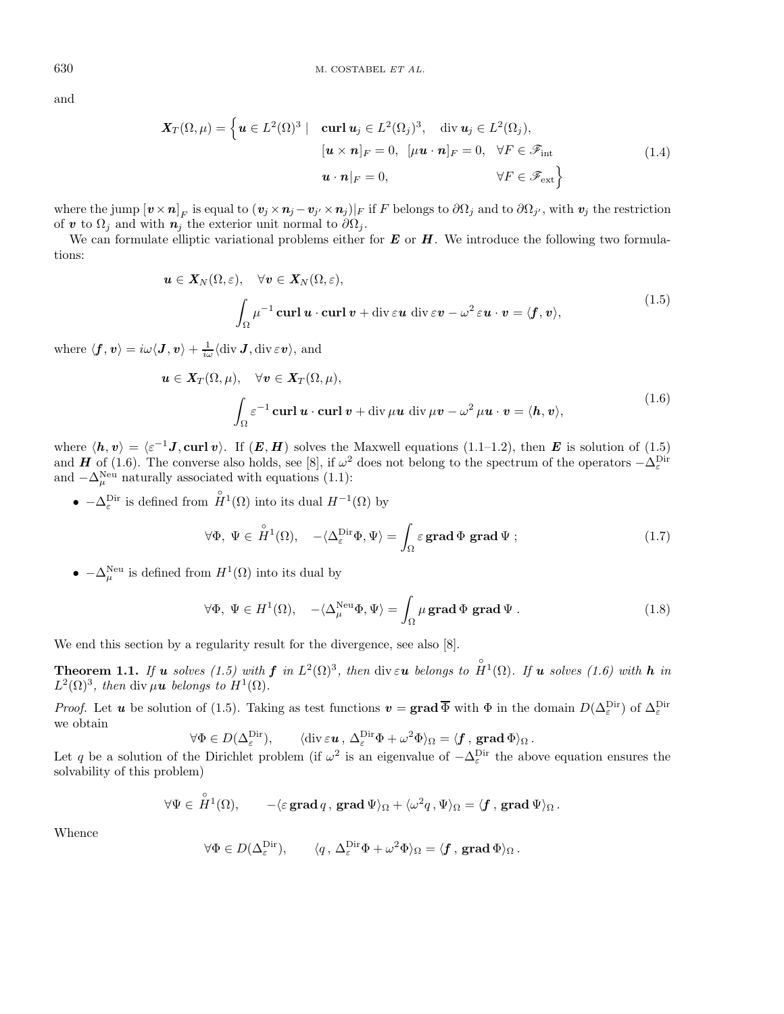and

$$
\mathbf{X}_{T}(\Omega,\mu) = \left\{ \mathbf{u} \in L^{2}(\Omega)^{3} \mid \operatorname{curl} \mathbf{u}_{j} \in L^{2}(\Omega_{j})^{3}, \operatorname{div} \mathbf{u}_{j} \in L^{2}(\Omega_{j}), \left[\mathbf{u} \times \mathbf{n}\right]_{F} = 0, \left[\mu \mathbf{u} \cdot \mathbf{n}\right]_{F} = 0, \forall F \in \mathscr{F}_{\text{int}} \left(1.4\right) \right\}
$$
\n
$$
\mathbf{u} \cdot \mathbf{n}|_{F} = 0, \qquad \forall F \in \mathscr{F}_{\text{ext}} \right\}
$$
\n(1.4)

where the jump  $[\bm{v} \times \bm{n}]_F$  is equal to  $(\bm{v}_j \times \bm{n}_j - \bm{v}_{j'} \times \bm{n}_j)|_F$  if F belongs to  $\partial \Omega_j$  and to  $\partial \Omega_{j'}$ , with  $\bm{v}_j$  the restriction of *v* to  $\Omega_j$  and with  $n_j$  the exterior unit normal to  $\partial \Omega_j$ .

We can formulate elliptic variational problems either for *E* or *H*. We introduce the following two formulations:

$$
\mathbf{u} \in \mathbf{X}_N(\Omega, \varepsilon), \quad \forall \mathbf{v} \in \mathbf{X}_N(\Omega, \varepsilon),
$$
  

$$
\int_{\Omega} \mu^{-1} \operatorname{curl} \mathbf{u} \cdot \operatorname{curl} \mathbf{v} + \operatorname{div} \varepsilon \mathbf{u} \operatorname{div} \varepsilon \mathbf{v} - \omega^2 \varepsilon \mathbf{u} \cdot \mathbf{v} = \langle \mathbf{f}, \mathbf{v} \rangle,
$$
 (1.5)

 $\text{where } \langle \bm{f}, \bm{v} \rangle = i \omega \langle \bm{J}, \bm{v} \rangle + \frac{1}{i \omega} \langle \text{div } \bm{J}, \text{div} \, \varepsilon \bm{v} \rangle, \text{ and}$ 

$$
\mathbf{u} \in \mathbf{X}_T(\Omega, \mu), \quad \forall \mathbf{v} \in \mathbf{X}_T(\Omega, \mu),
$$
  

$$
\int_{\Omega} \varepsilon^{-1} \operatorname{curl} \mathbf{u} \cdot \operatorname{curl} \mathbf{v} + \operatorname{div} \mu \mathbf{u} \operatorname{div} \mu \mathbf{v} - \omega^2 \mu \mathbf{u} \cdot \mathbf{v} = \langle \mathbf{h}, \mathbf{v} \rangle,
$$
 (1.6)

where  $\langle h, v \rangle = \langle \varepsilon^{-1} J, \text{curl } v \rangle$ . If  $(E, H)$  solves the Maxwell equations (1.1–1.2), then *E* is solution of (1.5) and *H* of (1.6). The converse also holds, see [8], if  $\omega^2$  does not belong to the spectrum of the operators  $-\Delta_{\varepsilon}^{\text{Dir}}$ and  $-\Delta_{\mu}^{\text{Neu}}$  naturally associated with equations (1.1):

•  $-\Delta_{\varepsilon}^{\text{Dir}}$  is defined from  $\hat{H}^1(\Omega)$  into its dual  $H^{-1}(\Omega)$  by

$$
\forall \Phi, \ \Psi \in \overset{\circ}{H}{}^{1}(\Omega), \quad -\langle \Delta_{\varepsilon}^{\text{Dir}} \Phi, \Psi \rangle = \int_{\Omega} \varepsilon \,\mathbf{grad} \, \Phi \,\mathbf{grad} \, \Psi ; \tag{1.7}
$$

•  $-\Delta_{\mu}^{\text{Neu}}$  is defined from  $H^{1}(\Omega)$  into its dual by

$$
\forall \Phi, \ \Psi \in H^{1}(\Omega), \quad -\langle \Delta_{\mu}^{\text{Neu}} \Phi, \Psi \rangle = \int_{\Omega} \mu \operatorname{grad} \Phi \operatorname{grad} \Psi . \tag{1.8}
$$

We end this section by a regularity result for the divergence, see also [8].

**Theorem 1.1.** If **u** solves (1.5) with **f** in  $L^2(\Omega)^3$ , then div  $\varepsilon$ **u** belongs to  $\hat{H}^1(\Omega)$ . If **u** solves (1.6) with **h** in  $L^2(\Omega)^3$ , then div  $\mu$ **u** belongs to  $H^1(\Omega)$ .

*Proof.* Let *u* be solution of (1.5). Taking as test functions  $v = \text{grad } \overline{\Phi}$  with  $\Phi$  in the domain  $D(\Delta_{\varepsilon}^{\text{Dir}})$  of  $\Delta_{\varepsilon}^{\text{Dir}}$ we obtain

$$
\forall \Phi \in D(\Delta_{\varepsilon}^{\mathrm{Dir}}), \qquad \langle \mathrm{div}\,\varepsilon \mathbf{u}, \, \Delta_{\varepsilon}^{\mathrm{Dir}} \Phi + \omega^2 \Phi \rangle_{\Omega} = \langle \mathbf{f}, \, \mathrm{grad}\,\Phi \rangle_{\Omega}.
$$

Let q be a solution of the Dirichlet problem (if  $\omega^2$  is an eigenvalue of  $-\Delta_{\varepsilon}^{\text{Dir}}$  the above equation ensures the solvability of this problem)

$$
\forall \Psi \in \overset{\circ}{H}{}^1(\Omega), \qquad -\langle \varepsilon \operatorname{\mathbf{grad}} q, \operatorname{\mathbf{grad}} \Psi \rangle_{\Omega} + \langle \omega^2 q, \Psi \rangle_{\Omega} = \langle \pmb{f} \, , \, \operatorname{\mathbf{grad}} \Psi \rangle_{\Omega} \, .
$$

Whence

$$
\forall \Phi \in D(\Delta^{\mathrm{Dir}}_{\varepsilon}), \qquad \langle q \, , \, \Delta^{\mathrm{Dir}}_{\varepsilon} \Phi + \omega^2 \Phi \rangle_{\Omega} = \langle \pmb{f} \, , \, \text{grad } \Phi \rangle_{\Omega} \, .
$$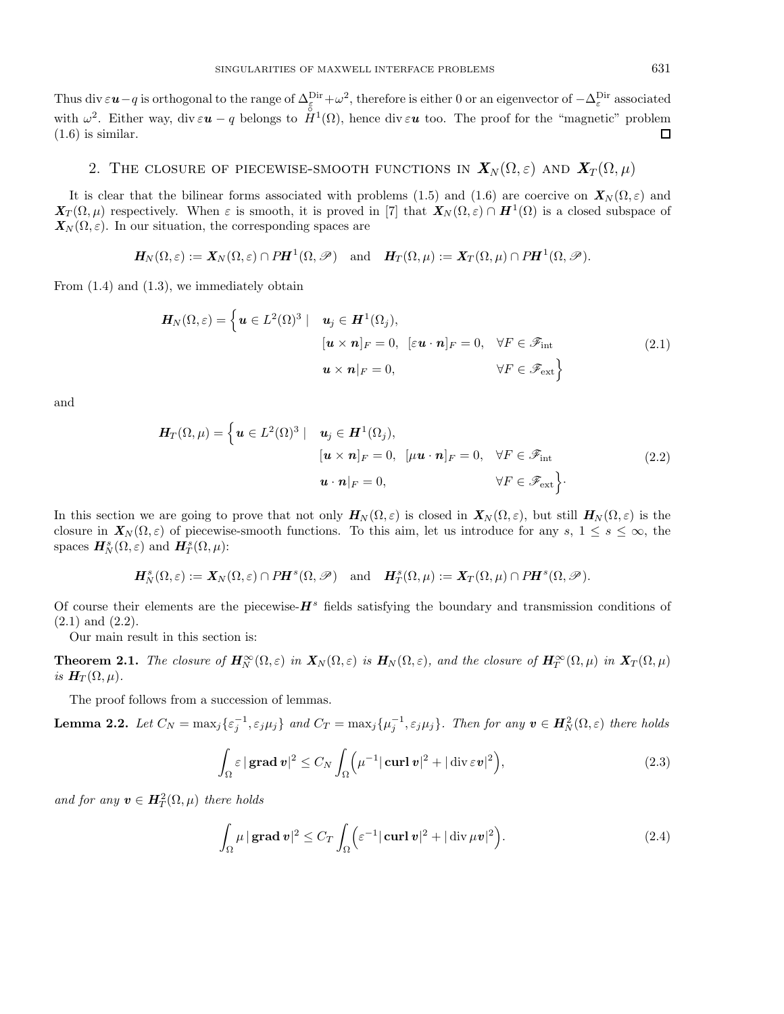Thus div  $\varepsilon u - q$  is orthogonal to the range of  $\Delta_{\varepsilon}^{\text{Dir}} + \omega^2$ , therefore is either 0 or an eigenvector of  $-\Delta_{\varepsilon}^{\text{Dir}}$  associated with  $\omega^2$ . Either way, div  $\varepsilon \mathbf{u} - q$  belongs to  $\overset{\circ}{H}^1(\Omega)$ , hence div  $\varepsilon \mathbf{u}$  too. The proof for the "magnetic" problem  $(1.6)$  is similar.  $\Box$ 

# 2. THE CLOSURE OF PIECEWISE-SMOOTH FUNCTIONS IN  $\mathbf{X}_N(\Omega,\varepsilon)$  and  $\mathbf{X}_T(\Omega,\mu)$

It is clear that the bilinear forms associated with problems (1.5) and (1.6) are coercive on  $X_N(\Omega,\varepsilon)$  and  $\mathbf{X}_T(\Omega,\mu)$  respectively. When  $\varepsilon$  is smooth, it is proved in [7] that  $\mathbf{X}_N(\Omega,\varepsilon) \cap \mathbf{H}^1(\Omega)$  is a closed subspace of  $\mathbf{X}_N(\Omega,\varepsilon)$ . In our situation, the corresponding spaces are

$$
\boldsymbol{H}_N(\Omega,\varepsilon):=\boldsymbol{X}_N(\Omega,\varepsilon)\cap P\boldsymbol{H}^1(\Omega,\mathscr{P})\quad\text{and}\quad \boldsymbol{H}_T(\Omega,\mu):=\boldsymbol{X}_T(\Omega,\mu)\cap P\boldsymbol{H}^1(\Omega,\mathscr{P}).
$$

From  $(1.4)$  and  $(1.3)$ , we immediately obtain

$$
\boldsymbol{H}_{N}(\Omega,\varepsilon) = \left\{ \boldsymbol{u} \in L^{2}(\Omega)^{3} \mid \boldsymbol{u}_{j} \in \boldsymbol{H}^{1}(\Omega_{j}), \\ [\boldsymbol{u} \times \boldsymbol{n}]_{F} = 0, \quad [\varepsilon \boldsymbol{u} \cdot \boldsymbol{n}]_{F} = 0, \quad \forall F \in \mathscr{F}_{int} \\ \boldsymbol{u} \times \boldsymbol{n}|_{F} = 0, \qquad \forall F \in \mathscr{F}_{ext} \right\}
$$
\n(2.1)

and

$$
\mathbf{H}_{T}(\Omega,\mu) = \left\{ \mathbf{u} \in L^{2}(\Omega)^{3} \mid \mathbf{u}_{j} \in \mathbf{H}^{1}(\Omega_{j}), \right\} \n[\mathbf{u} \times \mathbf{n}]_{F} = 0, \quad [\mu \mathbf{u} \cdot \mathbf{n}]_{F} = 0, \quad \forall F \in \mathcal{F}_{int} \n\mathbf{u} \cdot \mathbf{n}|_{F} = 0, \qquad \forall F \in \mathcal{F}_{ext} \right\}.
$$
\n(2.2)

In this section we are going to prove that not only  $H_N(\Omega, \varepsilon)$  is closed in  $X_N(\Omega, \varepsilon)$ , but still  $H_N(\Omega, \varepsilon)$  is the closure in  $\mathbf{X}_N(\Omega,\varepsilon)$  of piecewise-smooth functions. To this aim, let us introduce for any s,  $1 \leq s \leq \infty$ , the spaces  $H_N^s(\Omega, \varepsilon)$  and  $H_T^s(\Omega, \mu)$ :

$$
\boldsymbol{H}^s_N(\Omega,\varepsilon) := \boldsymbol{X}_N(\Omega,\varepsilon) \cap P \boldsymbol{H}^s(\Omega,\mathscr{P}) \quad \text{and} \quad \boldsymbol{H}^s_T(\Omega,\mu) := \boldsymbol{X}_T(\Omega,\mu) \cap P \boldsymbol{H}^s(\Omega,\mathscr{P}).
$$

Of course their elements are the piecewise- $H^s$  fields satisfying the boundary and transmission conditions of (2.1) and (2.2).

Our main result in this section is:

**Theorem 2.1.** The closure of  $H_N^{\infty}(\Omega,\varepsilon)$  in  $X_N(\Omega,\varepsilon)$  is  $H_N(\Omega,\varepsilon)$ , and the closure of  $H_T^{\infty}(\Omega,\mu)$  in  $X_T(\Omega,\mu)$ is  $H_T(\Omega,\mu)$ .

The proof follows from a succession of lemmas.

**Lemma 2.2.** Let  $C_N = \max_j \{ \varepsilon_j^{-1}, \varepsilon_j \mu_j \}$  and  $C_T = \max_j \{ \mu_j^{-1}, \varepsilon_j \mu_j \}$ . Then for any  $v \in H_N^2(\Omega, \varepsilon)$  there holds

$$
\int_{\Omega} \varepsilon \, |\operatorname{grad} \boldsymbol{v}|^2 \le C_N \int_{\Omega} \left( \mu^{-1} |\operatorname{curl} \boldsymbol{v}|^2 + |\operatorname{div} \varepsilon \boldsymbol{v}|^2 \right),\tag{2.3}
$$

and for any  $v \in H_T^2(\Omega, \mu)$  there holds

$$
\int_{\Omega} \mu |\operatorname{grad} v|^2 \leq C_T \int_{\Omega} \left( \varepsilon^{-1} |\operatorname{curl} v|^2 + |\operatorname{div} \mu v|^2 \right). \tag{2.4}
$$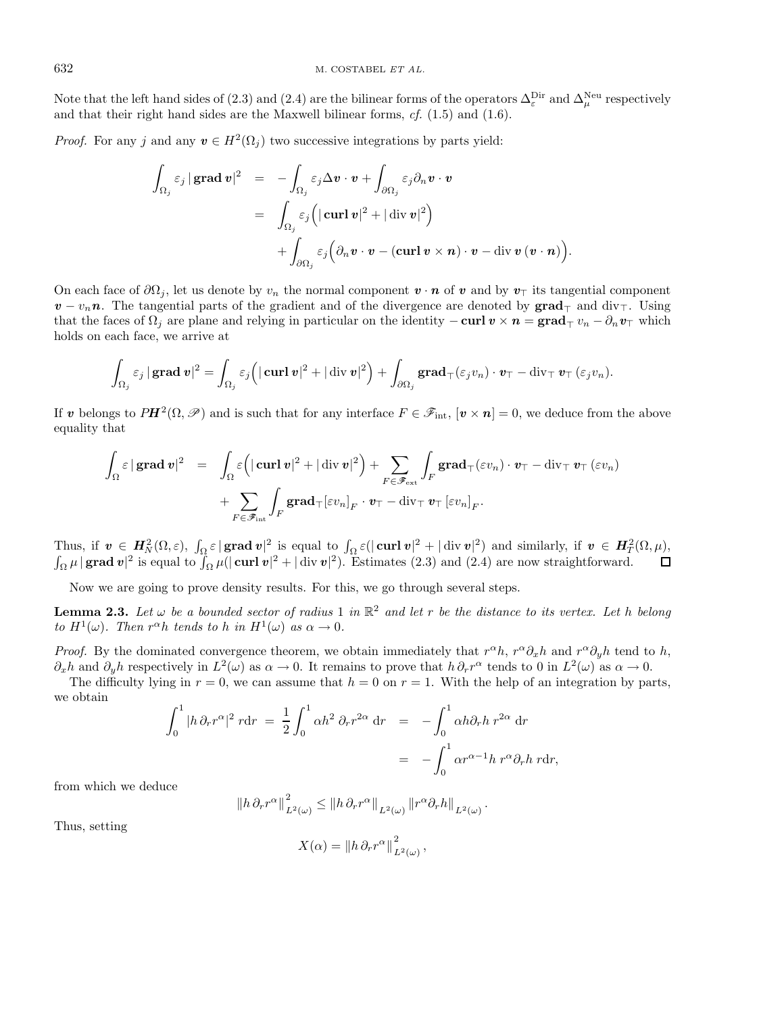Note that the left hand sides of (2.3) and (2.4) are the bilinear forms of the operators  $\Delta^{\text{Dir}}_{\varepsilon}$  and  $\Delta^{\text{Neu}}_{\mu}$  respectively and that their right hand sides are the Maxwell bilinear forms, cf. (1.5) and (1.6).

*Proof.* For any j and any  $v \in H^2(\Omega_i)$  two successive integrations by parts yield:

$$
\int_{\Omega_j} \varepsilon_j |\operatorname{grad} v|^2 = - \int_{\Omega_j} \varepsilon_j \Delta v \cdot v + \int_{\partial \Omega_j} \varepsilon_j \partial_n v \cdot v
$$
  
\n
$$
= \int_{\Omega_j} \varepsilon_j \Big( |\operatorname{curl} v|^2 + |\operatorname{div} v|^2 \Big) + \int_{\partial \Omega_j} \varepsilon_j \Big( \partial_n v \cdot v - (\operatorname{curl} v \times n) \cdot v - \operatorname{div} v (v \cdot n) \Big).
$$

On each face of  $\partial\Omega_i$ , let us denote by  $v_n$  the normal component  $\mathbf{v} \cdot \mathbf{n}$  of  $\mathbf{v}$  and by  $v_\perp$  its tangential component  $v - v_n n$ . The tangential parts of the gradient and of the divergence are denoted by **grad**<sub> $\tau$ </sub> and div $\tau$ . Using that the faces of  $\Omega_j$  are plane and relying in particular on the identity  $-\text{curl} v \times n = \text{grad}_{\top} v_n - \partial_n v_{\top}$  which holds on each face, we arrive at

$$
\int_{\Omega_j} \varepsilon_j \, |\, \mathbf{grad} \, \boldsymbol{v} |^2 = \int_{\Omega_j} \varepsilon_j \Big( |\, \mathbf{curl} \, \boldsymbol{v} |^2 + |\, \mathrm{div} \, \boldsymbol{v} |^2 \Big) + \int_{\partial \Omega_j} \mathbf{grad} _{\top} ( \varepsilon_j v_n ) \cdot \boldsymbol{v}_{\top} - \mathrm{div}_{\top} \, \boldsymbol{v}_{\top} \, ( \varepsilon_j v_n ).
$$

If *v* belongs to  $PH^2(\Omega, \mathscr{P})$  and is such that for any interface  $F \in \mathscr{F}_{int}$ ,  $[v \times n] = 0$ , we deduce from the above equality that

$$
\int_{\Omega} \varepsilon |\operatorname{grad} v|^{2} = \int_{\Omega} \varepsilon \Big( |\operatorname{curl} v|^{2} + |\operatorname{div} v|^{2} \Big) + \sum_{F \in \mathscr{F}_{\text{ext}}} \int_{F} \operatorname{grad}_{\top} (\varepsilon v_{n}) \cdot v_{\top} - \operatorname{div}_{\top} v_{\top} (\varepsilon v_{n}) + \sum_{F \in \mathscr{F}_{\text{int}}} \int_{F} \operatorname{grad}_{\top} [\varepsilon v_{n}]_{F} \cdot v_{\top} - \operatorname{div}_{\top} v_{\top} [\varepsilon v_{n}]_{F}.
$$

Thus, if  $v \in H_N^2(\Omega, \varepsilon)$ ,  $\int_{\Omega} \varepsilon |\operatorname{grad} v|^2$  is equal to  $\int_{\Omega} \varepsilon (|\operatorname{curl} v|^2 + |\operatorname{div} v|^2)$  and similarly, if  $v \in H_T^2(\Omega, \mu)$ ,  $\int_{\Omega} \mu |\mathbf{grad} \mathbf{v}|^2$  is equal to  $\int_{\Omega} \mu(|\mathbf{curl} \mathbf{v}|^2 + |\mathbf{div} \mathbf{v}|^2)$ . Estimates (2.3) and (2.4) are now straightforward.

Now we are going to prove density results. For this, we go through several steps.

**Lemma 2.3.** Let  $\omega$  be a bounded sector of radius 1 in  $\mathbb{R}^2$  and let r be the distance to its vertex. Let h belong to  $H^1(\omega)$ . Then  $r^{\alpha}h$  tends to h in  $H^1(\omega)$  as  $\alpha \to 0$ .

*Proof.* By the dominated convergence theorem, we obtain immediately that  $r^{\alpha}h$ ,  $r^{\alpha}\partial_xh$  and  $r^{\alpha}\partial_yh$  tend to h,  $\partial_x h$  and  $\partial_y h$  respectively in  $L^2(\omega)$  as  $\alpha \to 0$ . It remains to prove that  $h \partial_r r^{\alpha}$  tends to 0 in  $L^2(\omega)$  as  $\alpha \to 0$ .

The difficulty lying in  $r = 0$ , we can assume that  $h = 0$  on  $r = 1$ . With the help of an integration by parts, we obtain

$$
\int_0^1 |h \partial_r r^{\alpha}|^2 r dr = \frac{1}{2} \int_0^1 \alpha h^2 \partial_r r^{2\alpha} dr = - \int_0^1 \alpha h \partial_r h r^{2\alpha} dr
$$
  
= 
$$
- \int_0^1 \alpha r^{\alpha-1} h r^{\alpha} \partial_r h r dr,
$$

from which we deduce

$$
\left\|h\,\partial_r r^\alpha\right\|_{L^2(\omega)}^2 \leq \left\|h\,\partial_r r^\alpha\right\|_{L^2(\omega)} \left\|r^\alpha\partial_r h\right\|_{L^2(\omega)}.
$$

Thus, setting

$$
X(\alpha) = ||h \, \partial_r r^{\alpha}||^2_{L^2(\omega)},
$$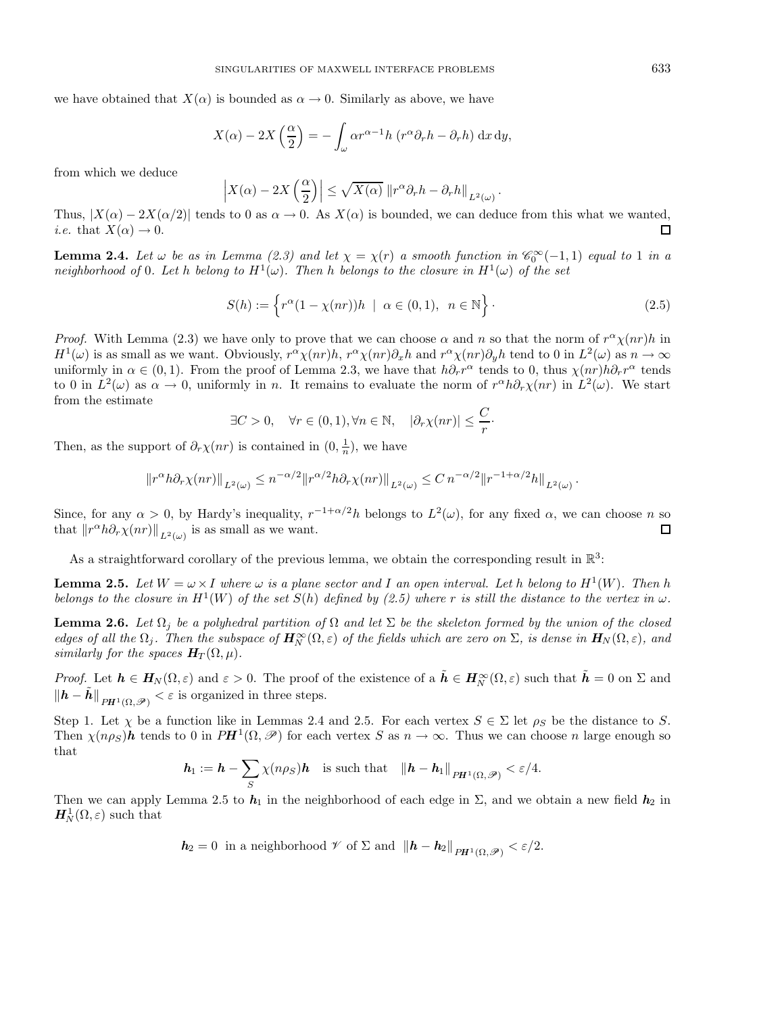we have obtained that  $X(\alpha)$  is bounded as  $\alpha \to 0$ . Similarly as above, we have

$$
X(\alpha) - 2X\left(\frac{\alpha}{2}\right) = -\int_{\omega} \alpha r^{\alpha-1} h \left(r^{\alpha} \partial_r h - \partial_r h\right) dx dy,
$$

from which we deduce

$$
\left| X(\alpha) - 2X\left(\frac{\alpha}{2}\right) \right| \leq \sqrt{X(\alpha)} \left\| r^{\alpha} \partial_r h - \partial_r h \right\|_{L^2(\omega)}.
$$

Thus,  $|X(\alpha) - 2X(\alpha/2)|$  tends to 0 as  $\alpha \to 0$ . As  $X(\alpha)$  is bounded, we can deduce from this what we wanted, *i.e.* that  $X(\alpha) \to 0$ .  $\Box$ 

**Lemma 2.4.** Let  $\omega$  be as in Lemma (2.3) and let  $\chi = \chi(r)$  a smooth function in  $\mathscr{C}_0^{\infty}(-1,1)$  equal to 1 in a neighborhood of 0. Let h belong to  $H^1(\omega)$ . Then h belongs to the closure in  $H^1(\omega)$  of the set

$$
S(h) := \left\{ r^{\alpha} (1 - \chi(nr)) h \mid \alpha \in (0, 1), \ n \in \mathbb{N} \right\}.
$$
 (2.5)

*Proof.* With Lemma (2.3) we have only to prove that we can choose  $\alpha$  and n so that the norm of  $r^{\alpha}\chi(nr)h$  in  $H^1(\omega)$  is as small as we want. Obviously,  $r^{\alpha}\chi(nr)h$ ,  $r^{\alpha}\chi(nr)\partial_xh$  and  $r^{\alpha}\chi(nr)\partial_yh$  tend to 0 in  $L^2(\omega)$  as  $n\to\infty$ uniformly in  $\alpha \in (0, 1)$ . From the proof of Lemma 2.3, we have that  $h \partial_r r^{\alpha}$  tends to 0, thus  $\chi(nr)h \partial_r r^{\alpha}$  tends to 0 in  $L^2(\omega)$  as  $\alpha \to 0$ , uniformly in n. It remains to evaluate the norm of  $r^{\alpha}h\partial_r\chi(nr)$  in  $L^2(\omega)$ . We start from the estimate

$$
\exists C > 0, \quad \forall r \in (0, 1), \forall n \in \mathbb{N}, \quad |\partial_r \chi(nr)| \leq \frac{C}{r}.
$$

Then, as the support of  $\partial_r \chi(nr)$  is contained in  $(0, \frac{1}{n})$ , we have

$$
||r^{\alpha}h\partial_r \chi(nr)||_{L^2(\omega)} \leq n^{-\alpha/2}||r^{\alpha/2}h\partial_r \chi(nr)||_{L^2(\omega)} \leq C n^{-\alpha/2}||r^{-1+\alpha/2}h||_{L^2(\omega)}.
$$

Since, for any  $\alpha > 0$ , by Hardy's inequality,  $r^{-1+\alpha/2}h$  belongs to  $L^2(\omega)$ , for any fixed  $\alpha$ , we can choose n so that  $\|r^{\alpha}h\partial_r\chi(nr)\|_{L^2(\omega)}$  is as small as we want.  $\Box$ 

As a straightforward corollary of the previous lemma, we obtain the corresponding result in  $\mathbb{R}^3$ :

**Lemma 2.5.** Let  $W = \omega \times I$  where  $\omega$  is a plane sector and I an open interval. Let h belong to  $H^1(W)$ . Then h belongs to the closure in  $H^1(W)$  of the set  $S(h)$  defined by (2.5) where r is still the distance to the vertex in  $\omega$ .

**Lemma 2.6.** Let  $\Omega_i$  be a polyhedral partition of  $\Omega$  and let  $\Sigma$  be the skeleton formed by the union of the closed edges of all the  $\Omega_j$ . Then the subspace of  $H^\infty_N(\Omega,\varepsilon)$  of the fields which are zero on  $\Sigma$ , is dense in  $H_N(\Omega,\varepsilon)$ , and similarly for the spaces  $H_T(\Omega,\mu)$ .

Proof. Let  $h \in H_N(\Omega, \varepsilon)$  and  $\varepsilon > 0$ . The proof of the existence of a  $\tilde{h} \in H_N^{\infty}(\Omega, \varepsilon)$  such that  $\tilde{h} = 0$  on  $\Sigma$  and  $||h - h||_{PH^1(\Omega, \mathscr{D})} < \varepsilon$  is organized in three steps.

Step 1. Let  $\chi$  be a function like in Lemmas 2.4 and 2.5. For each vertex  $S \in \Sigma$  let  $\rho_S$  be the distance to S. Then  $\chi(n\rho_S)$ **h** tends to 0 in  $PH^1(\Omega, \mathscr{P})$  for each vertex S as  $n \to \infty$ . Thus we can choose n large enough so that

$$
\boldsymbol{h}_1 := \boldsymbol{h} - \sum_S \chi(n\rho_S) \boldsymbol{h} \quad \text{is such that} \quad \|\boldsymbol{h} - \boldsymbol{h}_1\|_{PH^1(\Omega,\mathscr{P})} < \varepsilon/4.
$$

Then we can apply Lemma 2.5 to  $h_1$  in the neighborhood of each edge in  $\Sigma$ , and we obtain a new field  $h_2$  in  $H_N^1(\Omega,\varepsilon)$  such that

$$
h_2 = 0
$$
 in a neighborhood  $\mathcal{V}$  of  $\Sigma$  and  $||h - h_2||_{PH^1(\Omega, \mathcal{P})} < \varepsilon/2$ .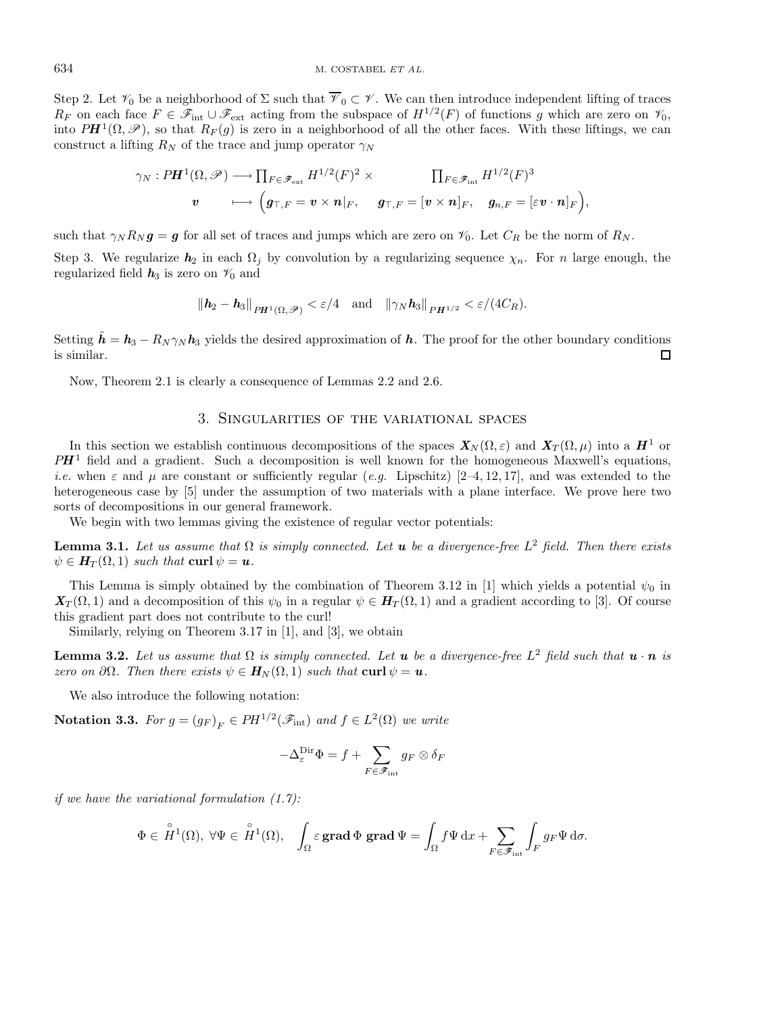Step 2. Let  $\mathcal{V}_0$  be a neighborhood of  $\Sigma$  such that  $\overline{\mathcal{V}}_0 \subset \mathcal{V}$ . We can then introduce independent lifting of traces  $R_F$  on each face  $F \in \mathscr{F}_{int} \cup \mathscr{F}_{ext}$  acting from the subspace of  $H^{1/2}(F)$  of functions g which are zero on  $\mathscr{V}_0$ , into  $PH^1(\Omega,\mathscr{P})$ , so that  $R_F(q)$  is zero in a neighborhood of all the other faces. With these liftings, we can construct a lifting  $R_N$  of the trace and jump operator  $\gamma_N$ 

$$
\begin{aligned}\gamma_N: P\bm{H}^1(\Omega,\mathscr{P})&\longrightarrow \prod_{F\in \mathscr{F}_{\rm ext}}H^{1/2}(F)^2\times\qquad&\prod_{F\in \mathscr{F}_{\rm int}}H^{1/2}(F)^3\\ \bm{v}&\longmapsto \begin{pmatrix}\bm{g}_{\top,F}=\bm{v}\times\bm{n}|_F,&\bm{g}_{\top,F}=[\bm{v}\times\bm{n}]_F,&\bm{g}_{n,F}=[\varepsilon\bm{v}\cdot\bm{n}]_F\end{pmatrix}\!,\end{aligned}
$$

such that  $\gamma_N R_N g = g$  for all set of traces and jumps which are zero on  $\mathcal{V}_0$ . Let  $C_R$  be the norm of  $R_N$ .

Step 3. We regularize  $h_2$  in each  $\Omega_j$  by convolution by a regularizing sequence  $\chi_n$ . For n large enough, the regularized field  $h_3$  is zero on  $\mathcal{V}_0$  and

$$
\left\|\bm{h}_2-\bm{h}_3\right\|_{P\bm{H}^1(\Omega,\mathscr{P})}<\varepsilon/4\quad\text{and}\quad\left\|\gamma_N\bm{h}_3\right\|_{P\bm{H}^{1/2}}<\varepsilon/(4C_R).
$$

Setting  $\tilde{h} = h_3 - R_N \gamma_N h_3$  yields the desired approximation of h. The proof for the other boundary conditions is similar.  $\Box$ 

Now, Theorem 2.1 is clearly a consequence of Lemmas 2.2 and 2.6.

# 3. Singularities of the variational spaces

In this section we establish continuous decompositions of the spaces  $X_N(\Omega, \varepsilon)$  and  $X_T(\Omega, \mu)$  into a  $H^1$  or  $PH<sup>1</sup>$  field and a gradient. Such a decomposition is well known for the homogeneous Maxwell's equations, i.e. when  $\varepsilon$  and  $\mu$  are constant or sufficiently regular (e.g. Lipschitz) [2–4, 12, 17], and was extended to the heterogeneous case by [5] under the assumption of two materials with a plane interface. We prove here two sorts of decompositions in our general framework.

We begin with two lemmas giving the existence of regular vector potentials:

**Lemma 3.1.** Let us assume that  $\Omega$  is simply connected. Let **u** be a divergence-free  $L^2$  field. Then there exists  $\psi \in H_T(\Omega, 1)$  such that **curl**  $\psi = u$ .

This Lemma is simply obtained by the combination of Theorem 3.12 in [1] which yields a potential  $\psi_0$  in  $\mathbf{X}_T(\Omega, 1)$  and a decomposition of this  $\psi_0$  in a regular  $\psi \in \mathbf{H}_T(\Omega, 1)$  and a gradient according to [3]. Of course this gradient part does not contribute to the curl!

Similarly, relying on Theorem 3.17 in [1], and [3], we obtain

**Lemma 3.2.** Let us assume that  $\Omega$  is simply connected. Let **u** be a divergence-free  $L^2$  field such that  $\mathbf{u} \cdot \mathbf{n}$  is zero on  $\partial\Omega$ . Then there exists  $\psi \in H_N(\Omega, 1)$  such that  $\text{curl } \psi = u$ .

We also introduce the following notation:

**Notation 3.3.** For  $g = (g_F)_F \in PH^{1/2}(\mathcal{F}_{int})$  and  $f \in L^2(\Omega)$  we write

$$
-\Delta^{\mathrm{Dir}}_{\varepsilon} \Phi = f + \sum_{F \in \mathscr{F}_{\mathrm{int}}} g_F \otimes \delta_F
$$

if we have the variational formulation  $(1.7)$ :

$$
\Phi\in \overset{\circ}{H}{}^1(\Omega),\ \forall \Psi\in \overset{\circ}{H}{}^1(\Omega),\quad \int_{\Omega}\varepsilon\,\text{grad}\,\Phi\,\,\text{grad}\,\Psi=\int_{\Omega}f\Psi\,\text{d} x+\sum_{F\in \mathscr{F}_{\text{int}}}\int_{F}g_F\Psi\,\text{d}\sigma.
$$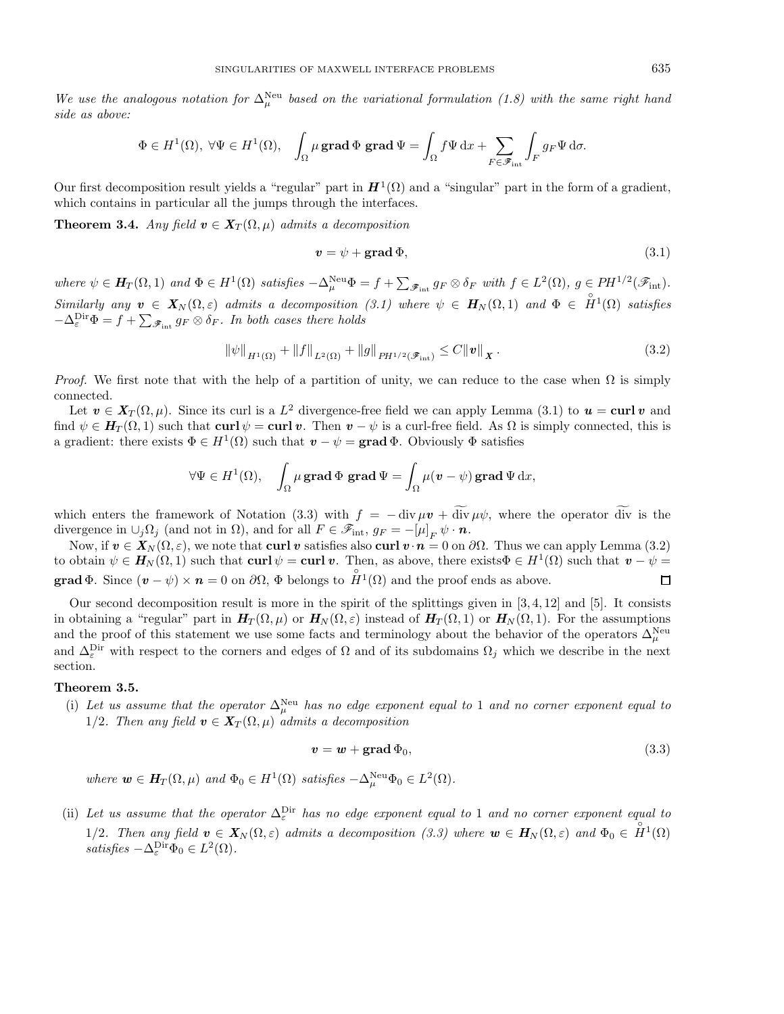We use the analogous notation for  $\Delta^{\text{Neu}}_{\mu}$  based on the variational formulation (1.8) with the same right hand side as above:

$$
\Phi \in H^1(\Omega), \ \forall \Psi \in H^1(\Omega), \quad \int_{\Omega} \mu \operatorname{grad} \Phi \operatorname{grad} \Psi = \int_{\Omega} f \Psi \, dx + \sum_{F \in \mathscr{F}_{\mathrm{int}}} \int_F g_F \Psi \, d\sigma.
$$

Our first decomposition result yields a "regular" part in  $H^1(\Omega)$  and a "singular" part in the form of a gradient, which contains in particular all the jumps through the interfaces.

**Theorem 3.4.** Any field  $v \in X_T(\Omega, \mu)$  admits a decomposition

$$
v = \psi + \text{grad}\,\Phi,\tag{3.1}
$$

where  $\psi \in H_T(\Omega, 1)$  and  $\Phi \in H^1(\Omega)$  satisfies  $-\Delta_{\mu}^{\text{Neu}}\Phi = f + \sum_{\mathscr{F}_{\text{int}}} g_F \otimes \delta_F$  with  $f \in L^2(\Omega)$ ,  $g \in PH^{1/2}(\mathscr{F}_{\text{int}})$ . Similarly any  $v \in X_N(\Omega, \varepsilon)$  admits a decomposition (3.1) where  $\psi \in H_N(\Omega, 1)$  and  $\Phi \in \overset{\circ}{H}^1(\Omega)$  satisfies  $-\Delta_{\varepsilon}^{\text{Dir}}\Phi = f + \sum_{\mathscr{F}_{\text{int}}} g_F \otimes \delta_F$ . In both cases there holds

$$
\|\psi\|_{H^1(\Omega)} + \|f\|_{L^2(\Omega)} + \|g\|_{PH^{1/2}(\mathscr{F}_{\text{int}})} \le C \|v\|_X.
$$
\n(3.2)

*Proof.* We first note that with the help of a partition of unity, we can reduce to the case when  $\Omega$  is simply connected.

Let  $v \in X_T(\Omega, \mu)$ . Since its curl is a L<sup>2</sup> divergence-free field we can apply Lemma (3.1) to  $u = \text{curl } v$  and find  $\psi \in H_T(\Omega, 1)$  such that **curl**  $\psi = \text{curl } v$ . Then  $v - \psi$  is a curl-free field. As  $\Omega$  is simply connected, this is a gradient: there exists  $\Phi \in H^1(\Omega)$  such that  $v - \psi = \text{grad } \Phi$ . Obviously  $\Phi$  satisfies

$$
\forall \Psi \in H^1(\Omega), \quad \int_{\Omega} \mu \operatorname{{\bf grad}} \Phi \, \operatorname{{\bf grad}} \Psi = \int_{\Omega} \mu (v - \psi) \operatorname{{\bf grad}} \Psi \, \mathrm{d} x,
$$

which enters the framework of Notation (3.3) with  $f = -\frac{div}{\mu v} + \frac{div}{\mu \psi}$ , where the operator  $\frac{div}{div}$  is the divergence in  $\cup_j \Omega_j$  (and not in  $\Omega$ ), and for all  $F \in \mathscr{F}_{\rm int}$ ,  $g_F = -[\mu]_F \psi \cdot \mathbf{n}$ .

Now, if  $v ∈ X_N(Ω, ε)$ , we note that **curl** *v* satisfies also **curl**  $v ⋅ n = 0$  on  $∂Ω$ . Thus we can apply Lemma (3.2) to obtain  $\psi \in H_N(\Omega, 1)$  such that **curl**  $\psi = \text{curl } v$ . Then, as above, there exists  $\Phi \in H^1(\Omega)$  such that  $v - \psi =$ **grad**  $\Phi$ . Since  $(\mathbf{v} - \psi) \times \mathbf{n} = 0$  on  $\partial\Omega$ ,  $\Phi$  belongs to  $\overset{\circ}{H}^1(\Omega)$  and the proof ends as above.  $\Box$ 

Our second decomposition result is more in the spirit of the splittings given in  $[3, 4, 12]$  and  $[5]$ . It consists in obtaining a "regular" part in  $H_T(\Omega, \mu)$  or  $H_N(\Omega, \varepsilon)$  instead of  $H_T(\Omega, 1)$  or  $H_N(\Omega, 1)$ . For the assumptions and the proof of this statement we use some facts and terminology about the behavior of the operators  $\Delta^{\text{Neu}}_\mu$ and  $\Delta_{\varepsilon}^{\text{Dir}}$  with respect to the corners and edges of  $\Omega$  and of its subdomains  $\Omega_j$  which we describe in the next section.

## **Theorem 3.5.**

(i) Let us assume that the operator  $\Delta_{\mu}^{\text{Neu}}$  has no edge exponent equal to 1 and no corner exponent equal to 1/2. Then any field  $v \in X_T(\Omega, \mu)$  admits a decomposition

$$
v = w + \text{grad}\,\Phi_0,\tag{3.3}
$$

where  $\mathbf{w} \in \mathbf{H}_T(\Omega, \mu)$  and  $\Phi_0 \in H^1(\Omega)$  satisfies  $-\Delta_{\mu}^{\text{Neu}} \Phi_0 \in L^2(\Omega)$ .

(ii) Let us assume that the operator  $\Delta_{\varepsilon}^{\text{Dir}}$  has no edge exponent equal to 1 and no corner exponent equal to 1/2. Then any field  $v \in X_N(\Omega, \varepsilon)$  admits a decomposition (3.3) where  $w \in H_N(\Omega, \varepsilon)$  and  $\Phi_0 \in \overset{\circ}{H}^1(\Omega)$ satisfies  $-\Delta_{\varepsilon}^{\text{Dir}}\Phi_0 \in L^2(\Omega)$ .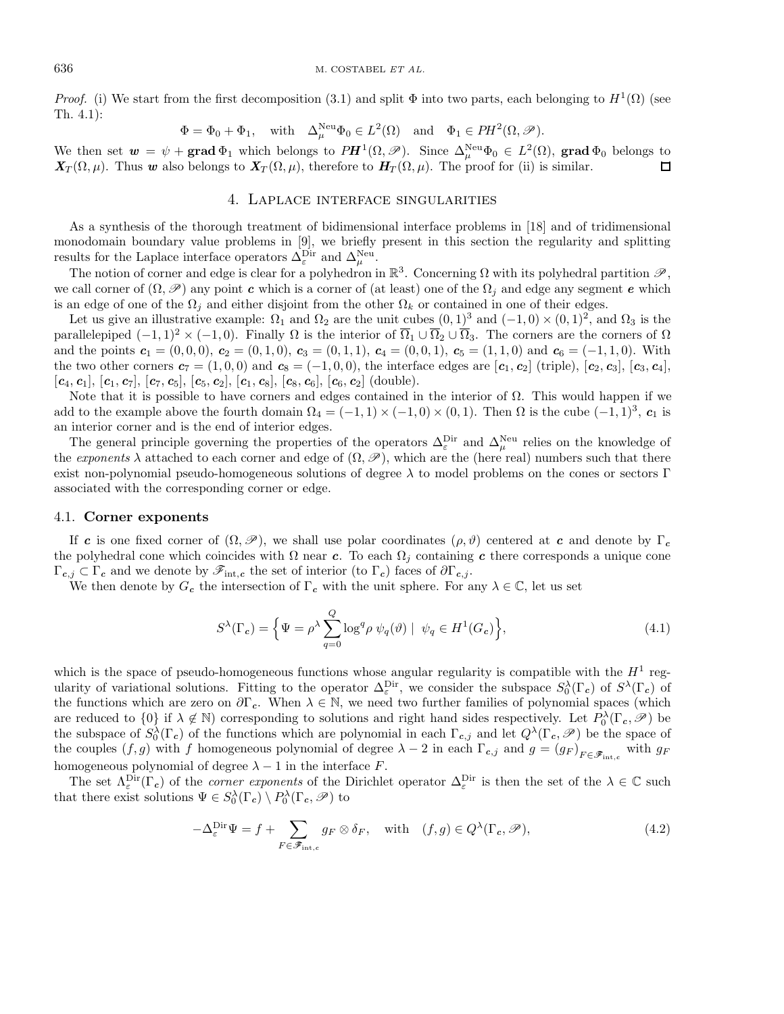*Proof.* (i) We start from the first decomposition (3.1) and split  $\Phi$  into two parts, each belonging to  $H^1(\Omega)$  (see Th. 4.1):

$$
\Phi = \Phi_0 + \Phi_1
$$
, with  $\Delta_{\mu}^{\text{Neu}} \Phi_0 \in L^2(\Omega)$  and  $\Phi_1 \in PH^2(\Omega, \mathcal{P})$ .

We then set  $w = \psi + \text{grad } \Phi_1$  which belongs to  $P\textbf{H}^1(\Omega, \mathscr{P})$ . Since  $\Delta^{\text{Neu}}_{\mu}\Phi_0 \in L^2(\Omega)$ , grad  $\Phi_0$  belongs to  $\mathbf{X}_T(\Omega,\mu)$ . Thus *w* also belongs to  $\mathbf{X}_T(\Omega,\mu)$ , therefore to  $\mathbf{H}_T(\Omega,\mu)$ . The proof for (ii) is similar.  $\Box$ 

## 4. Laplace interface singularities

As a synthesis of the thorough treatment of bidimensional interface problems in [18] and of tridimensional monodomain boundary value problems in [9], we briefly present in this section the regularity and splitting results for the Laplace interface operators  $\Delta_{\varepsilon}^{\text{Dir}}$  and  $\Delta_{\mu}^{\text{Neu}}$ .

The notion of corner and edge is clear for a polyhedron in  $\mathbb{R}^3$ . Concerning  $\Omega$  with its polyhedral partition  $\mathscr{P}$ , we call corner of  $(\Omega, \mathscr{P})$  any point *c* which is a corner of (at least) one of the  $\Omega_i$  and edge any segment *e* which is an edge of one of the  $\Omega_j$  and either disjoint from the other  $\Omega_k$  or contained in one of their edges.

Let us give an illustrative example:  $\Omega_1$  and  $\Omega_2$  are the unit cubes  $(0,1)^3$  and  $(-1,0) \times (0,1)^2$ , and  $\Omega_3$  is the parallelepiped  $(-1, 1)^2 \times (-1, 0)$ . Finally  $\Omega$  is the interior of  $\overline{\Omega}_1 \cup \overline{\Omega}_2 \cup \overline{\Omega}_3$ . The corners are the corners of  $\Omega$ and the points  $c_1 = (0, 0, 0), c_2 = (0, 1, 0), c_3 = (0, 1, 1), c_4 = (0, 0, 1), c_5 = (1, 1, 0)$  and  $c_6 = (-1, 1, 0)$ . With the two other corners  $\mathbf{c}_7 = (1, 0, 0)$  and  $\mathbf{c}_8 = (-1, 0, 0)$ , the interface edges are  $[\mathbf{c}_1, \mathbf{c}_2]$  (triple),  $[\mathbf{c}_2, \mathbf{c}_3]$ ,  $[\mathbf{c}_3, \mathbf{c}_4]$ ,  $[c_4, c_1], [c_1, c_7], [c_7, c_5], [c_5, c_2], [c_1, c_8], [c_8, c_6], [c_6, c_2]$  (double).

Note that it is possible to have corners and edges contained in the interior of  $\Omega$ . This would happen if we add to the example above the fourth domain  $\Omega_4 = (-1,1) \times (-1,0) \times (0,1)$ . Then  $\Omega$  is the cube  $(-1,1)^3$ ,  $c_1$  is an interior corner and is the end of interior edges.

The general principle governing the properties of the operators  $\Delta_{\varepsilon}^{\text{Dir}}$  and  $\Delta_{\mu}^{\text{Neu}}$  relies on the knowledge of the exponents  $\lambda$  attached to each corner and edge of  $(\Omega, \mathscr{P})$ , which are the (here real) numbers such that there exist non-polynomial pseudo-homogeneous solutions of degree  $\lambda$  to model problems on the cones or sectors Γ associated with the corresponding corner or edge.

### 4.1. **Corner exponents**

If *c* is one fixed corner of  $(\Omega, \mathscr{P})$ , we shall use polar coordinates  $(\rho, \vartheta)$  centered at *c* and denote by Γ<sub>*c*</sub> the polyhedral cone which coincides with  $\Omega$  near *c*. To each  $\Omega_j$  containing *c* there corresponds a unique cone  $\Gamma_{c,j} \subset \Gamma_c$  and we denote by  $\mathscr{F}_{\text{int},c}$  the set of interior (to  $\Gamma_c$ ) faces of  $\partial \Gamma_{c,j}$ .

We then denote by  $G_c$  the intersection of  $\Gamma_c$  with the unit sphere. For any  $\lambda \in \mathbb{C}$ , let us set

$$
S^{\lambda}(\Gamma_c) = \left\{ \Psi = \rho^{\lambda} \sum_{q=0}^{Q} \log^q \rho \ \psi_q(\vartheta) \mid \ \psi_q \in H^1(G_c) \right\},\tag{4.1}
$$

which is the space of pseudo-homogeneous functions whose angular regularity is compatible with the  $H<sup>1</sup>$  regularity of variational solutions. Fitting to the operator  $\Delta_{\varepsilon}^{\text{Dir}}$ , we consider the subspace  $S_0^{\lambda}(\Gamma_c)$  of  $S^{\lambda}(\Gamma_c)$  of the functions which are zero on  $\partial\Gamma_c$ . When  $\lambda \in \mathbb{N}$ , we need two further families of polynomial spaces (which are reduced to  $\{0\}$  if  $\lambda \notin \mathbb{N}$ ) corresponding to solutions and right hand sides respectively. Let  $P_0^{\lambda}(\Gamma_c, \mathscr{P})$  be the subspace of  $S_0^{\lambda}(\Gamma_c)$  of the functions which are polynomial in each  $\Gamma_{c,j}$  and let  $Q^{\lambda}(\Gamma_c, \mathscr{P})$  be the space of the couples  $(f,g)$  with f homogeneous polynomial of degree  $\lambda - 2$  in each  $\Gamma_{c,j}$  and  $g = (g_F)_{F \in \mathscr{F}_{\text{int},c}}$  with  $g_F$ homogeneous polynomial of degree  $\lambda - 1$  in the interface  $F$ .

The set  $\Lambda_{\varepsilon}^{\text{Dir}}(\Gamma_c)$  of the *corner exponents* of the Dirichlet operator  $\Delta_{\varepsilon}^{\text{Dir}}$  is then the set of the  $\lambda \in \mathbb{C}$  such that there exist solutions  $\Psi \in S_0^{\lambda}(\Gamma_c) \setminus P_0^{\lambda}(\Gamma_c, \mathscr{P})$  to

$$
-\Delta_{\varepsilon}^{\text{Dir}} \Psi = f + \sum_{F \in \mathscr{F}_{\text{int},c}} g_F \otimes \delta_F, \quad \text{with} \quad (f,g) \in Q^{\lambda}(\Gamma_c, \mathscr{P}), \tag{4.2}
$$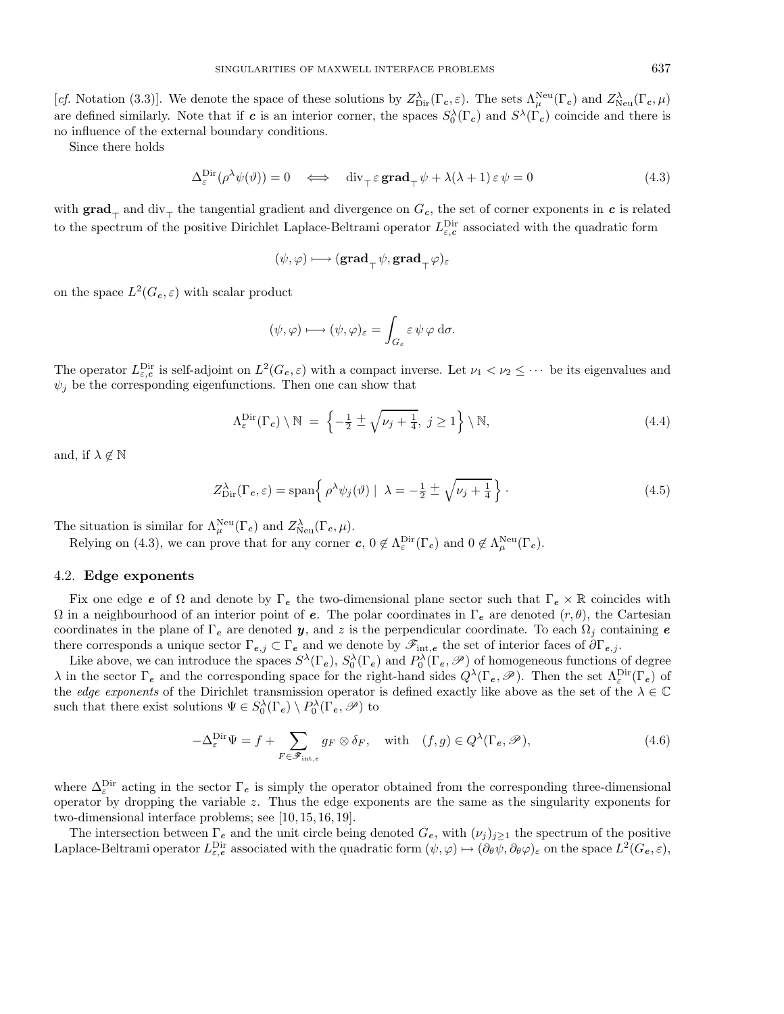[cf. Notation (3.3)]. We denote the space of these solutions by  $Z_{\text{Dir}}^{\lambda}(\Gamma_c, \varepsilon)$ . The sets  $\Lambda_{\mu}^{\text{Neu}}(\Gamma_c)$  and  $Z_{\text{Neu}}^{\lambda}(\Gamma_c, \mu)$ are defined similarly. Note that if *c* is an interior corner, the spaces  $S_0^{\lambda}(\Gamma_c)$  and  $S^{\lambda}(\Gamma_c)$  coincide and there is no influence of the external boundary conditions.

Since there holds

$$
\Delta_{\varepsilon}^{\mathrm{Dir}}(\rho^{\lambda}\psi(\vartheta)) = 0 \iff \operatorname{div}_{\tau} \varepsilon \operatorname{grad}_{\tau} \psi + \lambda(\lambda + 1) \varepsilon \psi = 0 \tag{4.3}
$$

with  $grad_{\tau}$  and  $div_{\tau}$  the tangential gradient and divergence on  $G_c$ , the set of corner exponents in *c* is related to the spectrum of the positive Dirichlet Laplace-Beltrami operator  $L_{\varepsilon,c}^{\text{Dir}}$  associated with the quadratic form

$$
(\psi, \varphi) \longmapsto (\mathbf{grad}_{\top} \psi, \mathbf{grad}_{\top} \varphi)_{\varepsilon}
$$

on the space  $L^2(G_c, \varepsilon)$  with scalar product

$$
(\psi, \varphi) \longmapsto (\psi, \varphi)_{\varepsilon} = \int_{G_c} \varepsilon \, \psi \, \varphi \, \mathrm{d}\sigma.
$$

The operator  $L_{\varepsilon,c}^{\text{Dir}}$  is self-adjoint on  $L^2(G_c, \varepsilon)$  with a compact inverse. Let  $\nu_1 < \nu_2 \leq \cdots$  be its eigenvalues and  $\psi_i$  be the corresponding eigenfunctions. Then one can show that

$$
\Lambda_{\varepsilon}^{\text{Dir}}(\Gamma_c) \setminus \mathbb{N} \ = \ \left\{ -\frac{1}{2} \pm \sqrt{\nu_j + \frac{1}{4}}, \ j \ge 1 \right\} \setminus \mathbb{N}, \tag{4.4}
$$

and, if  $\lambda \notin \mathbb{N}$ 

$$
Z_{\text{Dir}}^{\lambda}(\Gamma_c, \varepsilon) = \text{span}\left\{ \rho^{\lambda} \psi_j(\vartheta) \mid \lambda = -\frac{1}{2} \pm \sqrt{\nu_j + \frac{1}{4}} \right\}.
$$
 (4.5)

The situation is similar for  $\Lambda^{\text{Neu}}_{\mu}(\Gamma_c)$  and  $Z^{\lambda}_{\text{Neu}}(\Gamma_c, \mu)$ .

Relying on (4.3), we can prove that for any corner  $c, 0 \notin \Lambda_{\varepsilon}^{\text{Dir}}(\Gamma_c)$  and  $0 \notin \Lambda_{\mu}^{\text{Neu}}(\Gamma_c)$ .

### 4.2. **Edge exponents**

Fix one edge *e* of  $\Omega$  and denote by  $\Gamma_e$  the two-dimensional plane sector such that  $\Gamma_e \times \mathbb{R}$  coincides with  $\Omega$  in a neighbourhood of an interior point of *e*. The polar coordinates in  $\Gamma_e$  are denoted  $(r, \theta)$ , the Cartesian coordinates in the plane of  $\Gamma_e$  are denoted *y*, and z is the perpendicular coordinate. To each  $\Omega_j$  containing *e* there corresponds a unique sector  $\Gamma_{e,j} \subset \Gamma_e$  and we denote by  $\mathscr{F}_{\text{int},e}$  the set of interior faces of  $\partial \Gamma_{e,j}$ .

Like above, we can introduce the spaces  $S^{\lambda}(\Gamma_e)$ ,  $S_0^{\lambda}(\Gamma_e)$  and  $P_0^{\lambda}(\Gamma_e, \mathscr{P})$  of homogeneous functions of degree  $\lambda$  in the sector  $\Gamma_e$  and the corresponding space for the right-hand sides  $Q^{\lambda}(\Gamma_e, \mathscr{P})$ . Then the set  $\Lambda_{\varepsilon}^{\text{Dir}}(\Gamma_e)$  of the *edge exponents* of the Dirichlet transmission operator is defined exactly like above as the set of the  $\lambda \in \mathbb{C}$ such that there exist solutions  $\Psi \in S_0^{\lambda}(\Gamma_e) \setminus P_0^{\lambda}(\Gamma_e, \mathscr{P})$  to

$$
-\Delta_{\varepsilon}^{\text{Dir}} \Psi = f + \sum_{F \in \mathcal{F}_{\text{int},e}} g_F \otimes \delta_F, \quad \text{with} \quad (f,g) \in Q^{\lambda}(\Gamma_e, \mathcal{P}), \tag{4.6}
$$

where  $\Delta_{\varepsilon}^{\text{Dir}}$  acting in the sector  $\Gamma_e$  is simply the operator obtained from the corresponding three-dimensional operator by dropping the variable  $z$ . Thus the edge exponents are the same as the singularity exponents for two-dimensional interface problems; see [10, 15, 16, 19].

The intersection between  $\Gamma_e$  and the unit circle being denoted  $G_e$ , with  $(\nu_j)_{j\geq 1}$  the spectrum of the positive Laplace-Beltrami operator  $L_{\varepsilon,e}^{\text{Dir}}$  associated with the quadratic form  $(\psi, \varphi) \mapsto (\partial_{\theta} \psi, \partial_{\theta} \varphi)_{\varepsilon}$  on the space  $L^2(G_e, \varepsilon)$ ,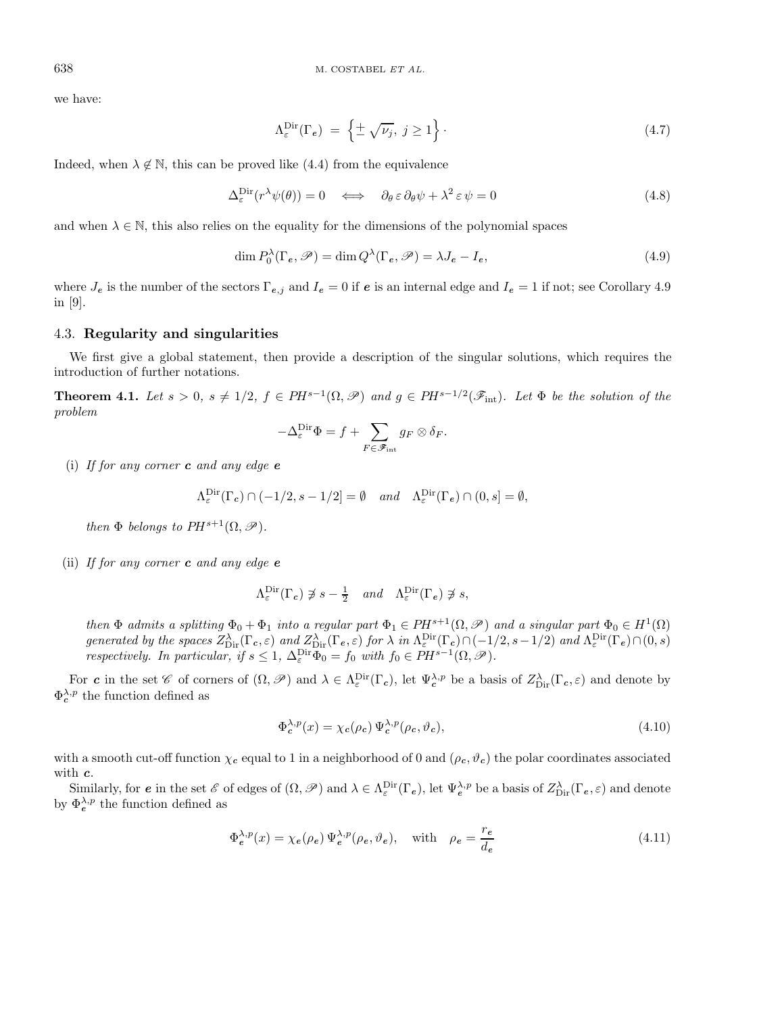we have:

$$
\Lambda_{\varepsilon}^{\mathrm{Dir}}(\Gamma_e) = \left\{ \pm \sqrt{\nu_j}, \ j \ge 1 \right\}.
$$
\n(4.7)

Indeed, when  $\lambda \notin \mathbb{N}$ , this can be proved like (4.4) from the equivalence

$$
\Delta_{\varepsilon}^{\text{Dir}}(r^{\lambda}\psi(\theta)) = 0 \iff \partial_{\theta}\varepsilon \partial_{\theta}\psi + \lambda^2 \varepsilon \psi = 0 \tag{4.8}
$$

and when  $\lambda \in \mathbb{N}$ , this also relies on the equality for the dimensions of the polynomial spaces

$$
\dim P_0^{\lambda}(\Gamma_e, \mathscr{P}) = \dim Q^{\lambda}(\Gamma_e, \mathscr{P}) = \lambda J_e - I_e,
$$
\n(4.9)

where  $J_e$  is the number of the sectors  $\Gamma_{e,j}$  and  $I_e = 0$  if  $e$  is an internal edge and  $I_e = 1$  if not; see Corollary 4.9 in [9].

### 4.3. **Regularity and singularities**

We first give a global statement, then provide a description of the singular solutions, which requires the introduction of further notations.

**Theorem 4.1.** Let  $s > 0$ ,  $s \neq 1/2$ ,  $f \in PH^{s-1}(\Omega, \mathscr{P})$  and  $g \in PH^{s-1/2}(\mathscr{F}_{int})$ . Let  $\Phi$  be the solution of the problem

$$
-\Delta_{\varepsilon}^{\mathrm{Dir}} \Phi = f + \sum_{F \in \mathscr{F}_{\mathrm{int}}} g_F \otimes \delta_F.
$$

(i) If for any corner *c* and any edge *e*

$$
\Lambda_{\varepsilon}^{\mathrm{Dir}}(\Gamma_{c}) \cap (-1/2, s-1/2] = \emptyset \quad and \quad \Lambda_{\varepsilon}^{\mathrm{Dir}}(\Gamma_{e}) \cap (0, s] = \emptyset,
$$

then  $\Phi$  belongs to  $PH^{s+1}(\Omega, \mathscr{P})$ .

(ii) If for any corner *c* and any edge *e*

$$
\Lambda_{\varepsilon}^{\mathrm{Dir}}(\Gamma_c) \not\ni s - \frac{1}{2} \quad and \quad \Lambda_{\varepsilon}^{\mathrm{Dir}}(\Gamma_e) \not\ni s,
$$

then  $\Phi$  admits a splitting  $\Phi_0 + \Phi_1$  into a regular part  $\Phi_1 \in PH^{s+1}(\Omega, \mathscr{P})$  and a singular part  $\Phi_0 \in H^1(\Omega)$ generated by the spaces  $Z_{\text{Dir}}^{\lambda}(\Gamma_{c}, \varepsilon)$  and  $Z_{\text{Dir}}^{\lambda}(\Gamma_{e}, \varepsilon)$  for  $\lambda$  in  $\Lambda_{\varepsilon}^{\text{Dir}}(\Gamma_{c}) \cap (-1/2, s-1/2)$  and  $\Lambda_{\varepsilon}^{\text{Dir}}(\Gamma_{e}) \cap (0, s)$ respectively. In particular, if  $s \leq 1$ ,  $\Delta_{\varepsilon}^{\text{Dir}} \Phi_0 = f_0$  with  $f_0 \in PH^{s-1}(\Omega, \mathscr{P})$ .

For *c* in the set  $\mathscr{C}$  of corners of  $(\Omega, \mathscr{P})$  and  $\lambda \in \Lambda_{\varepsilon}^{\text{Dir}}(\Gamma_c)$ , let  $\Psi_c^{\lambda, p}$  be a basis of  $Z_{\text{Dir}}^{\lambda}(\Gamma_c, \varepsilon)$  and denote by  $\Phi_c^{\lambda,p}$  the function defined as

$$
\Phi_c^{\lambda, p}(x) = \chi_c(\rho_c) \Psi_c^{\lambda, p}(\rho_c, \vartheta_c),\tag{4.10}
$$

with a smooth cut-off function  $\chi_c$  equal to 1 in a neighborhood of 0 and  $(\rho_c, \vartheta_c)$  the polar coordinates associated with *c*.

Similarly, for *e* in the set  $\mathscr E$  of edges of  $(\Omega, \mathscr P)$  and  $\lambda \in \Lambda^{\mathrm{Dir}}_{\varepsilon}(\Gamma_e)$ , let  $\Psi_e^{\lambda, p}$  be a basis of  $Z_{\mathrm{Dir}}^{\lambda}(\Gamma_e, \varepsilon)$  and denote by  $\Phi_e^{\lambda,p}$  the function defined as

$$
\Phi_e^{\lambda, p}(x) = \chi_e(\rho_e) \Psi_e^{\lambda, p}(\rho_e, \vartheta_e), \quad \text{with} \quad \rho_e = \frac{r_e}{d_e}
$$
\n(4.11)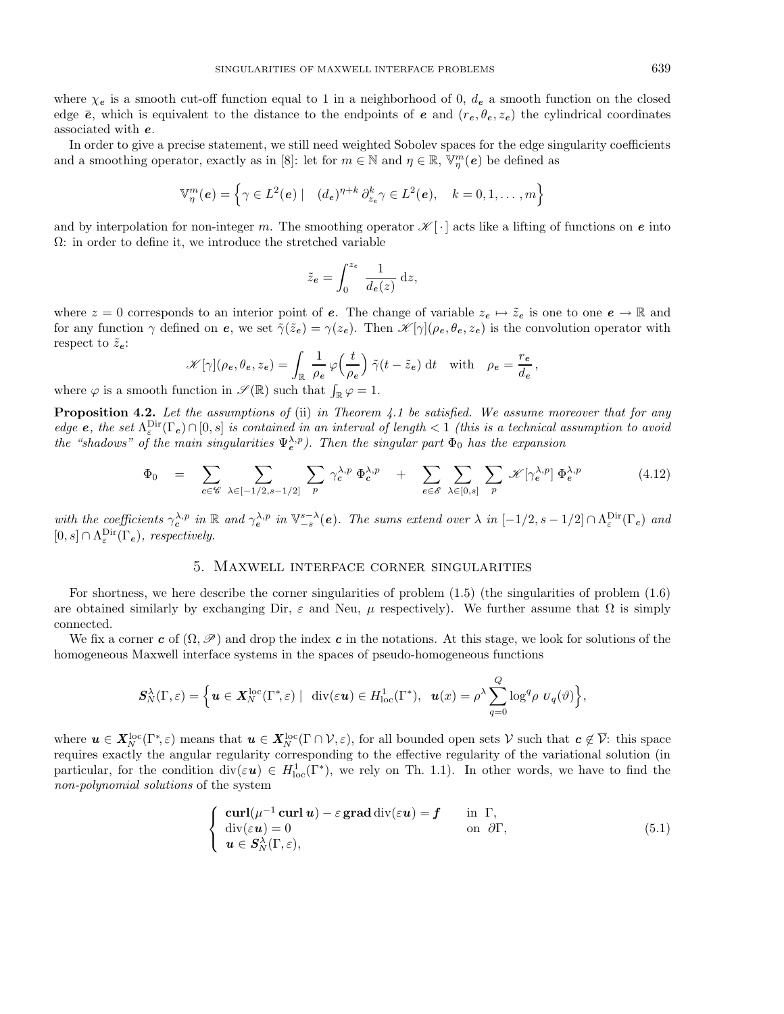where  $\chi_e$  is a smooth cut-off function equal to 1 in a neighborhood of 0,  $d_e$  a smooth function on the closed edge  $\bar{e}$ , which is equivalent to the distance to the endpoints of *e* and  $(r_e, \theta_e, z_e)$  the cylindrical coordinates associated with *e*.

In order to give a precise statement, we still need weighted Sobolev spaces for the edge singularity coefficients and a smoothing operator, exactly as in [8]: let for  $m \in \mathbb{N}$  and  $\eta \in \mathbb{R}$ ,  $\mathbb{V}_{\eta}^{m}(e)$  be defined as

$$
\mathbb{V}_{\eta}^{m}(\boldsymbol{e}) = \left\{ \gamma \in L^{2}(\boldsymbol{e}) \mid (d_{\boldsymbol{e}})^{\eta+k} \partial_{z_{\boldsymbol{e}}}^{k} \gamma \in L^{2}(\boldsymbol{e}), \quad k = 0, 1, \ldots, m \right\}
$$

and by interpolation for non-integer m. The smoothing operator  $\mathscr{K}[\cdot]$  acts like a lifting of functions on *e* into  $\Omega$ : in order to define it, we introduce the stretched variable

$$
\tilde{z}_e = \int_0^{z_e} \frac{1}{d_e(z)} \, \mathrm{d}z,
$$

where  $z = 0$  corresponds to an interior point of *e*. The change of variable  $z_e \mapsto \tilde{z}_e$  is one to one  $e \to \mathbb{R}$  and for any function  $\gamma$  defined on *e*, we set  $\tilde{\gamma}(\tilde{z}_e) = \gamma(z_e)$ . Then  $\mathscr{K}[\gamma](\rho_e, \theta_e, z_e)$  is the convolution operator with respect to  $\tilde{z}_e$ :

$$
\mathscr{K}[\gamma](\rho_e, \theta_e, z_e) = \int_{\mathbb{R}} \frac{1}{\rho_e} \varphi\left(\frac{t}{\rho_e}\right) \tilde{\gamma}(t - \tilde{z}_e) dt \quad \text{with} \quad \rho_e = \frac{r_e}{d_e},
$$

where  $\varphi$  is a smooth function in  $\mathscr{S}(\mathbb{R})$  such that  $\int_{\mathbb{R}} \varphi = 1$ .

**Proposition 4.2.** Let the assumptions of (ii) in Theorem 4.1 be satisfied. We assume moreover that for any edge **e**, the set  $\Lambda_{\varepsilon}^{\text{Dir}}(\Gamma_e) \cap [0, s]$  is contained in an interval of length  $\lt 1$  (this is a technical assumption to avoid the "shadows" of the main singularities  $\Psi_e^{\lambda,p}$ ). Then the singular part  $\Phi_0$  has the expansion

$$
\Phi_0 = \sum_{c \in \mathscr{C}} \sum_{\lambda \in [-1/2, s-1/2]} \sum_p \gamma_c^{\lambda, p} \Phi_c^{\lambda, p} + \sum_{e \in \mathscr{E}} \sum_{\lambda \in [0, s]} \sum_p \mathscr{K}[\gamma_e^{\lambda, p}] \Phi_e^{\lambda, p}
$$
(4.12)

with the coefficients  $\gamma_c^{\lambda, p}$  in  $\mathbb{R}$  and  $\gamma_e^{\lambda, p}$  in  $\mathbb{V}_{-s}^{s-\lambda}(e)$ . The sums extend over  $\lambda$  in  $[-1/2, s-1/2] \cap \Lambda_{\varepsilon}^{\text{Dir}}(\Gamma_c)$  and  $[0, s] \cap \Lambda_{\varepsilon}^{\text{Dir}}(\Gamma_e)$ , respectively.

#### 5. Maxwell interface corner singularities

For shortness, we here describe the corner singularities of problem (1.5) (the singularities of problem (1.6) are obtained similarly by exchanging Dir,  $\varepsilon$  and Neu,  $\mu$  respectively). We further assume that  $\Omega$  is simply connected.

We fix a corner *c* of  $(\Omega, \mathscr{P})$  and drop the index *c* in the notations. At this stage, we look for solutions of the homogeneous Maxwell interface systems in the spaces of pseudo-homogeneous functions

$$
\mathbf{S}_{N}^{\lambda}(\Gamma,\varepsilon)=\Big\{\boldsymbol{u}\in\boldsymbol{X}_{N}^{\text{loc}}(\Gamma^{*},\varepsilon)\;|\;\; \text{div}(\varepsilon\boldsymbol{u})\in H_{\text{loc}}^{1}(\Gamma^{*}),\;\;\boldsymbol{u}(x)=\rho^{\lambda}\sum_{q=0}^{Q}\log^{q}\rho\,\,U_{q}(\vartheta)\Big\},
$$

where  $u \in X^{\text{loc}}_N(\Gamma^*, \varepsilon)$  means that  $u \in X^{\text{loc}}_N(\Gamma \cap V, \varepsilon)$ , for all bounded open sets V such that  $c \notin \overline{V}$ : this space requires exactly the angular regularity corresponding to the effective regularity of the variational solution (in particular, for the condition  $\text{div}(\varepsilon \boldsymbol{u}) \in H^1_{\text{loc}}(\Gamma^*)$ , we rely on Th. 1.1). In other words, we have to find the non-polynomial solutions of the system

$$
\begin{cases}\n\operatorname{curl}(\mu^{-1}\operatorname{curl}\boldsymbol{u}) - \varepsilon \operatorname{grad} \operatorname{div}(\varepsilon \boldsymbol{u}) = \boldsymbol{f} & \text{in } \Gamma, \\
\operatorname{div}(\varepsilon \boldsymbol{u}) = 0 & \text{on } \partial \Gamma, \\
\boldsymbol{u} \in \mathcal{S}_N^{\lambda}(\Gamma, \varepsilon),\n\end{cases} (5.1)
$$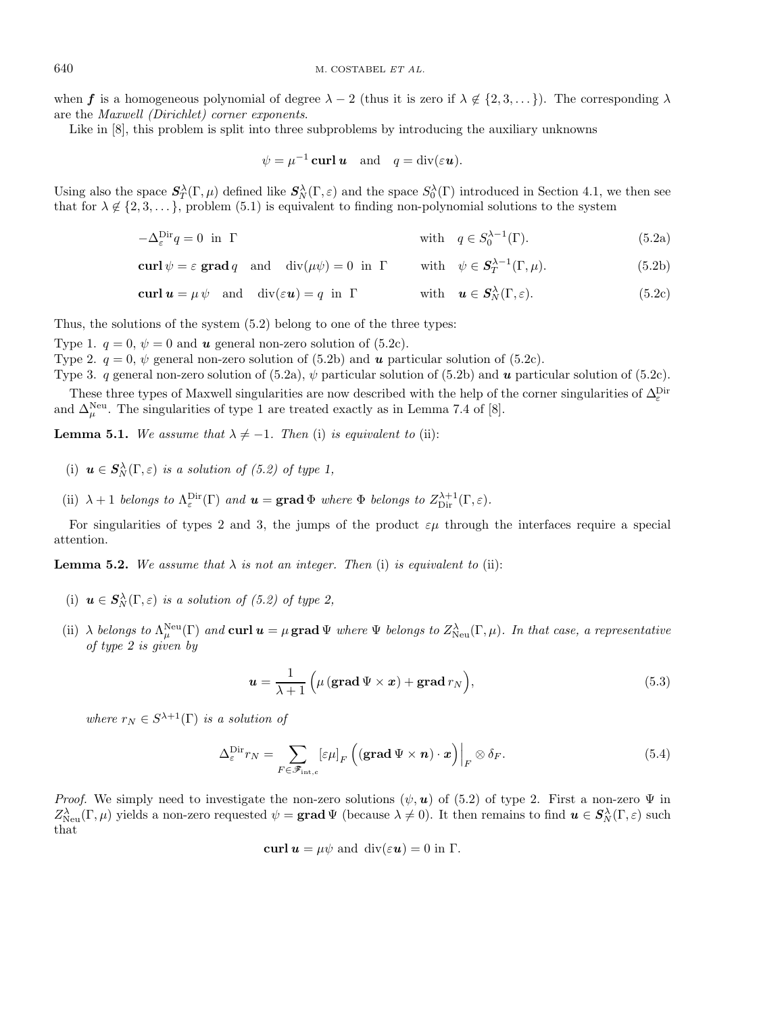when **f** is a homogeneous polynomial of degree  $\lambda - 2$  (thus it is zero if  $\lambda \notin \{2, 3, ...\}$ ). The corresponding  $\lambda$ are the Maxwell (Dirichlet) corner exponents.

Like in [8], this problem is split into three subproblems by introducing the auxiliary unknowns

$$
\psi = \mu^{-1} \operatorname{curl} \boldsymbol{u}
$$
 and  $q = \operatorname{div}(\varepsilon \boldsymbol{u}).$ 

Using also the space  $S_T^{\lambda}(\Gamma,\mu)$  defined like  $S_N^{\lambda}(\Gamma,\varepsilon)$  and the space  $S_0^{\lambda}(\Gamma)$  introduced in Section 4.1, we then see that for  $\lambda \notin \{2, 3, \ldots\}$ , problem (5.1) is equivalent to finding non-polynomial solutions to the system

$$
-\Delta_{\varepsilon}^{\text{Dir}}q = 0 \text{ in } \Gamma \tag{5.2a}
$$
 with  $q \in S_0^{\lambda - 1}(\Gamma)$ .

**curl**  $\psi = \varepsilon$  **grad**  $q$  and div( $\mu \psi$ ) = 0 in Γ with  $\psi \in S_T^{\lambda-1}(\Gamma, \mu)$ . (5.2b)

$$
\operatorname{curl} \mathbf{u} = \mu \psi \quad \text{and} \quad \operatorname{div}(\varepsilon \mathbf{u}) = q \quad \text{in} \quad \Gamma \qquad \text{with} \quad \mathbf{u} \in \mathbf{S}_N^{\lambda}(\Gamma, \varepsilon). \tag{5.2c}
$$

Thus, the solutions of the system (5.2) belong to one of the three types:

Type 1.  $q = 0$ ,  $\psi = 0$  and **u** general non-zero solution of (5.2c).

Type 2.  $q = 0$ ,  $\psi$  general non-zero solution of (5.2b) and *u* particular solution of (5.2c).

Type 3. q general non-zero solution of  $(5.2a)$ ,  $\psi$  particular solution of  $(5.2b)$  and **u** particular solution of  $(5.2c)$ .

These three types of Maxwell singularities are now described with the help of the corner singularities of  $\Delta_{\varepsilon}^{\text{Dir}}$ and  $\Delta_{\mu}^{\text{Neu}}$ . The singularities of type 1 are treated exactly as in Lemma 7.4 of [8].

**Lemma 5.1.** We assume that  $\lambda \neq -1$ . Then (i) is equivalent to (ii):

- (i)  $u \in S_N^{\lambda}(\Gamma, \varepsilon)$  is a solution of (5.2) of type 1,
- (ii)  $\lambda + 1$  belongs to  $\Lambda_{\varepsilon}^{\text{Dir}}(\Gamma)$  and  $\mathbf{u} = \text{grad } \Phi$  where  $\Phi$  belongs to  $Z_{\text{Dir}}^{\lambda+1}(\Gamma, \varepsilon)$ .

For singularities of types 2 and 3, the jumps of the product  $\varepsilon\mu$  through the interfaces require a special attention.

**Lemma 5.2.** We assume that  $\lambda$  is not an integer. Then (i) is equivalent to (ii):

- (i)  $u \in S_N^{\lambda}(\Gamma, \varepsilon)$  is a solution of (5.2) of type 2,
- (ii)  $\lambda$  belongs to  $\Lambda^{\text{Neu}}_{\mu}(\Gamma)$  and **curl**  $u = \mu$  grad  $\Psi$  where  $\Psi$  belongs to  $Z^{\lambda}_{\text{Neu}}(\Gamma, \mu)$ . In that case, a representative of type *2* is given by

$$
\boldsymbol{u} = \frac{1}{\lambda + 1} \left( \mu \left( \operatorname{grad} \Psi \times \boldsymbol{x} \right) + \operatorname{grad} r_N \right), \tag{5.3}
$$

where  $r_N \in S^{\lambda+1}(\Gamma)$  is a solution of

$$
\Delta_{\varepsilon}^{\text{Dir}} r_N = \sum_{F \in \mathscr{F}_{\text{int},c}} \left[ \varepsilon \mu \right]_F \left( (\text{grad } \Psi \times \boldsymbol{n}) \cdot \boldsymbol{x} \right) \Big|_F \otimes \delta_F. \tag{5.4}
$$

*Proof.* We simply need to investigate the non-zero solutions  $(\psi, \mathbf{u})$  of (5.2) of type 2. First a non-zero  $\Psi$  in  $Z_{\text{Neu}}^{\lambda}(\Gamma,\mu)$  yields a non-zero requested  $\psi = \textbf{grad}\Psi$  (because  $\lambda \neq 0$ ). It then remains to find  $\mathbf{u} \in \mathbf{S}_{N}^{\lambda}(\Gamma,\varepsilon)$  such that

$$
\operatorname{curl} \boldsymbol{u} = \mu \psi
$$
 and  $\operatorname{div}(\varepsilon \boldsymbol{u}) = 0$  in  $\Gamma$ .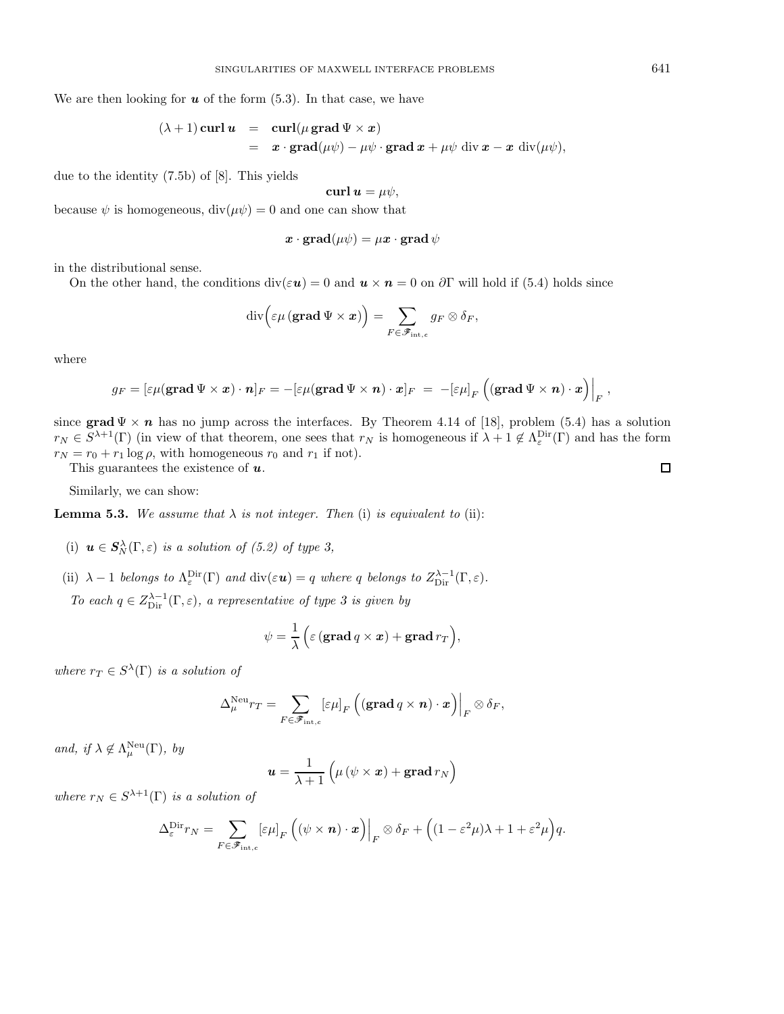We are then looking for  $u$  of the form  $(5.3)$ . In that case, we have

$$
(\lambda + 1) \operatorname{curl} \boldsymbol{u} = \operatorname{curl}(\mu \operatorname{grad} \Psi \times \boldsymbol{x})
$$
  
=  $\boldsymbol{x} \cdot \operatorname{grad}(\mu \psi) - \mu \psi \cdot \operatorname{grad} \boldsymbol{x} + \mu \psi \operatorname{div} \boldsymbol{x} - \boldsymbol{x} \operatorname{div}(\mu \psi),$ 

due to the identity (7.5b) of [8]. This yields

**curl**  $u = \mu \psi$ ,

because  $\psi$  is homogeneous,  $\text{div}(\mu \psi) = 0$  and one can show that

$$
\boldsymbol{x}\cdot\boldsymbol{\mathrm{grad}}(\mu\psi)=\mu\boldsymbol{x}\cdot\boldsymbol{\mathrm{grad}}\,\psi
$$

in the distributional sense.

On the other hand, the conditions  $\text{div}(\varepsilon \mathbf{u}) = 0$  and  $\mathbf{u} \times \mathbf{n} = 0$  on  $\partial \Gamma$  will hold if (5.4) holds since

$$
\mathrm{div}\Bigl(\varepsilon\mu\left(\mathbf{grad}\,\Psi\times\boldsymbol{x}\right)\Bigr)=\sum_{F\in\mathscr{F}_{\mathrm{int},c}}g_F\otimes\delta_F,
$$

where

$$
g_F = \left[\varepsilon\mu(\mathop{\mathbf{grad}}\Psi\times\bm x)\cdot\bm n\right]_F = -\left[\varepsilon\mu(\mathop{\mathbf{grad}}\Psi\times\bm n)\cdot\bm x\right]_F ~=~ -\left[\varepsilon\mu\right]_F\left(\left(\mathop{\mathbf{grad}}\Psi\times\bm n\right)\cdot\bm x\right)\Big|_F,
$$

since **grad**  $\Psi \times n$  has no jump across the interfaces. By Theorem 4.14 of [18], problem (5.4) has a solution  $r_N \in S^{\lambda+1}(\Gamma)$  (in view of that theorem, one sees that  $r_N$  is homogeneous if  $\lambda+1 \notin \Lambda_{\varepsilon}^{\text{Dir}}(\Gamma)$  and has the form  $r_N = r_0 + r_1 \log \rho$ , with homogeneous  $r_0$  and  $r_1$  if not).

This guarantees the existence of *u*.

Similarly, we can show:

**Lemma 5.3.** We assume that  $\lambda$  is not integer. Then (i) is equivalent to (ii):

- (i)  $u \in S_N^{\lambda}(\Gamma, \varepsilon)$  is a solution of (5.2) of type 3,
- (ii)  $\lambda 1$  belongs to  $\Lambda_{\varepsilon}^{\text{Dir}}(\Gamma)$  and  $\text{div}(\varepsilon \mathbf{u}) = q$  where q belongs to  $Z_{\text{Dir}}^{\lambda 1}(\Gamma, \varepsilon)$ . To each  $q \in Z_{\text{Dir}}^{\lambda-1}(\Gamma, \varepsilon)$ , a representative of type 3 is given by

$$
\psi = \frac{1}{\lambda} \Big( \varepsilon \left( \operatorname{grad} q \times x \right) + \operatorname{grad} r_T \Big),
$$

where  $r_T \in S^{\lambda}(\Gamma)$  is a solution of

$$
\Delta^{\mathrm{Neu}}_{\mu}r_T = \sum_{F \in \mathscr{F}_{\mathrm{int},c}}\left[\varepsilon\mu\right]_F\left(\left(\mathrm{\mathbf{grad}}\,q\times \boldsymbol{n}\right)\cdot\boldsymbol{x}\right)\Big|_F\otimes\delta_F,
$$

and, if  $\lambda \notin \Lambda^{\text{Neu}}_{\mu}(\Gamma)$ , by

$$
\boldsymbol{u} = \frac{1}{\lambda+1} \left( \mu \left( \psi \times \boldsymbol{x} \right) + \boldsymbol{\mathrm{grad}} \, r_N \right)
$$

where  $r_N \in S^{\lambda+1}(\Gamma)$  is a solution of

$$
\Delta_{\varepsilon}^{\text{Dir}} r_N = \sum_{F \in \mathscr{F}_{\text{int},\varepsilon}} [\varepsilon \mu]_F \left( (\psi \times \boldsymbol{n}) \cdot \boldsymbol{x} \right) \Big|_F \otimes \delta_F + \Big( (1 - \varepsilon^2 \mu) \lambda + 1 + \varepsilon^2 \mu \Big) q.
$$

 $\Box$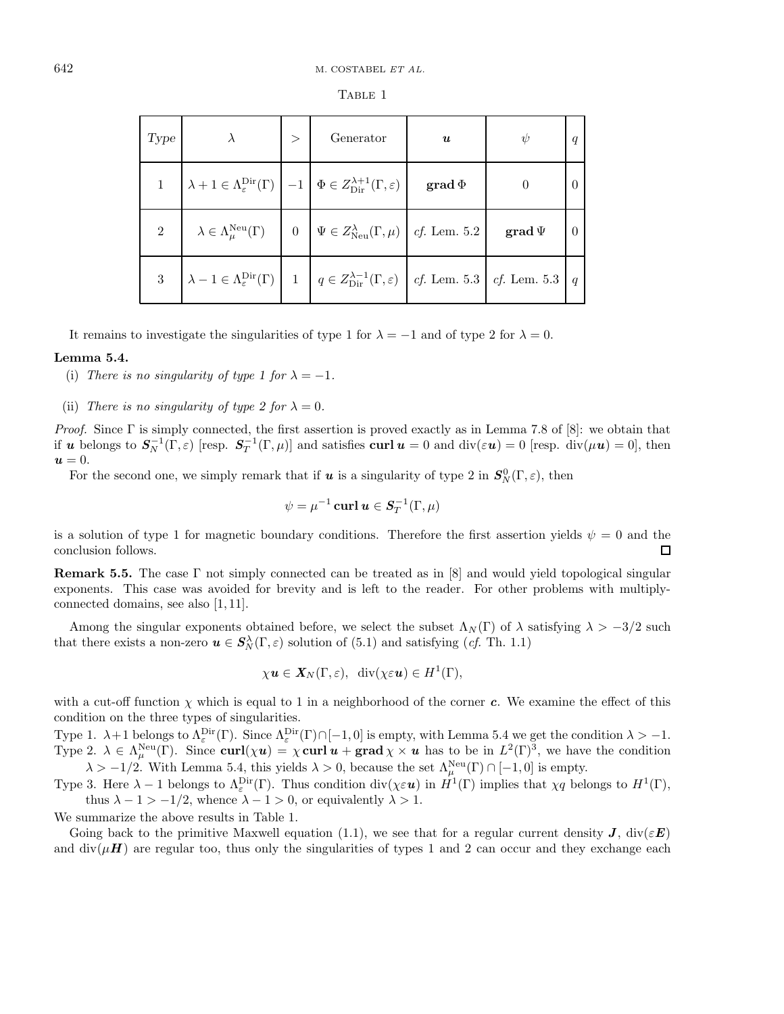| Type |                                                                                                                                                             | $\geq$ | Generator                                                                                                              | $\boldsymbol{u}$       | $\psi$                | q              |
|------|-------------------------------------------------------------------------------------------------------------------------------------------------------------|--------|------------------------------------------------------------------------------------------------------------------------|------------------------|-----------------------|----------------|
|      | $\lambda + 1 \in \Lambda_{\varepsilon}^{\mathrm{Dir}}(\Gamma) \Big  -1 \Big  \Phi \in Z_{\mathrm{Dir}}^{\lambda+1}(\Gamma, \varepsilon) \Big $              |        |                                                                                                                        | $\mathbf{grad}\, \Phi$ |                       | $\theta$       |
| 2    |                                                                                                                                                             |        | $\lambda \in \Lambda^{\text{Neu}}_{\mu}(\Gamma)$   0   $\Psi \in Z^{\lambda}_{\text{Neu}}(\Gamma, \mu)$   cf. Lem. 5.2 |                        | $\mathbf{grad}\,\Psi$ | $\overline{0}$ |
|      | 3 $\lambda - 1 \in \Lambda_{\varepsilon}^{\text{Dir}}(\Gamma)$ 1 $q \in Z_{\text{Dir}}^{\lambda - 1}(\Gamma, \varepsilon)$ cf. Lem. 5.3 $c$ f. Lem. 5.3 $q$ |        |                                                                                                                        |                        |                       |                |

TABLE 1

It remains to investigate the singularities of type 1 for  $\lambda = -1$  and of type 2 for  $\lambda = 0$ .

### **Lemma 5.4.**

(i) There is no singularity of type 1 for  $\lambda = -1$ .

(ii) There is no singularity of type 2 for  $\lambda = 0$ .

Proof. Since  $\Gamma$  is simply connected, the first assertion is proved exactly as in Lemma 7.8 of [8]: we obtain that if *u* belongs to  $S_N^{-1}(\Gamma, \varepsilon)$  [resp.  $S_T^{-1}(\Gamma, \mu)$ ] and satisfies **curl**  $u = 0$  and  $\text{div}(\varepsilon u) = 0$  [resp.  $\text{div}(\mu u) = 0$ ], then  $u = 0$ .

For the second one, we simply remark that if  $u$  is a singularity of type 2 in  $S_N^0(\Gamma, \varepsilon)$ , then

$$
\psi = \mu^{-1} \operatorname{curl} \boldsymbol{u} \in \boldsymbol{S}_T^{-1}(\Gamma,\mu)
$$

is a solution of type 1 for magnetic boundary conditions. Therefore the first assertion yields  $\psi = 0$  and the conclusion follows.  $\Box$ 

**Remark 5.5.** The case Γ not simply connected can be treated as in [8] and would yield topological singular exponents. This case was avoided for brevity and is left to the reader. For other problems with multiplyconnected domains, see also [1, 11].

Among the singular exponents obtained before, we select the subset  $\Lambda_N(\Gamma)$  of  $\lambda$  satisfying  $\lambda > -3/2$  such that there exists a non-zero  $u \in S_N^{\lambda}(\Gamma, \varepsilon)$  solution of (5.1) and satisfying (*cf.* Th. 1.1)

$$
\chi \mathbf{u} \in \mathbf{X}_N(\Gamma,\varepsilon), \ \operatorname{div}(\chi \varepsilon \mathbf{u}) \in H^1(\Gamma),
$$

with a cut-off function  $\chi$  which is equal to 1 in a neighborhood of the corner *c*. We examine the effect of this condition on the three types of singularities.

Type 1.  $\lambda + 1$  belongs to  $\Lambda_{\varepsilon}^{\text{Dir}}(\Gamma)$ . Since  $\Lambda_{\varepsilon}^{\text{Dir}}(\Gamma) \cap [-1,0]$  is empty, with Lemma 5.4 we get the condition  $\lambda > -1$ . Type 2.  $\lambda \in \Lambda^{\text{Neu}}_{\mu}(\Gamma)$ . Since  $\text{curl}(\chi u) = \chi \text{curl } u + \text{grad } \chi \times u$  has to be in  $L^2(\Gamma)^3$ , we have the condition  $\lambda > -1/2$ . With Lemma 5.4, this yields  $\lambda > 0$ , because the set  $\Lambda_{\mu}^{\text{Neu}}(\Gamma) \cap [-1,0]$  is empty.

Type 3. Here  $\lambda - 1$  belongs to  $\Lambda_{\varepsilon}^{\text{Dir}}(\Gamma)$ . Thus condition div $(\chi \varepsilon \mathbf{u})$  in  $H^1(\Gamma)$  implies that  $\chi q$  belongs to  $H^1(\Gamma)$ , thus  $\lambda - 1 > -1/2$ , whence  $\lambda - 1 > 0$ , or equivalently  $\lambda > 1$ .

We summarize the above results in Table 1.

Going back to the primitive Maxwell equation (1.1), we see that for a regular current density *J*, div( $\epsilon E$ ) and  $div(\mu H)$  are regular too, thus only the singularities of types 1 and 2 can occur and they exchange each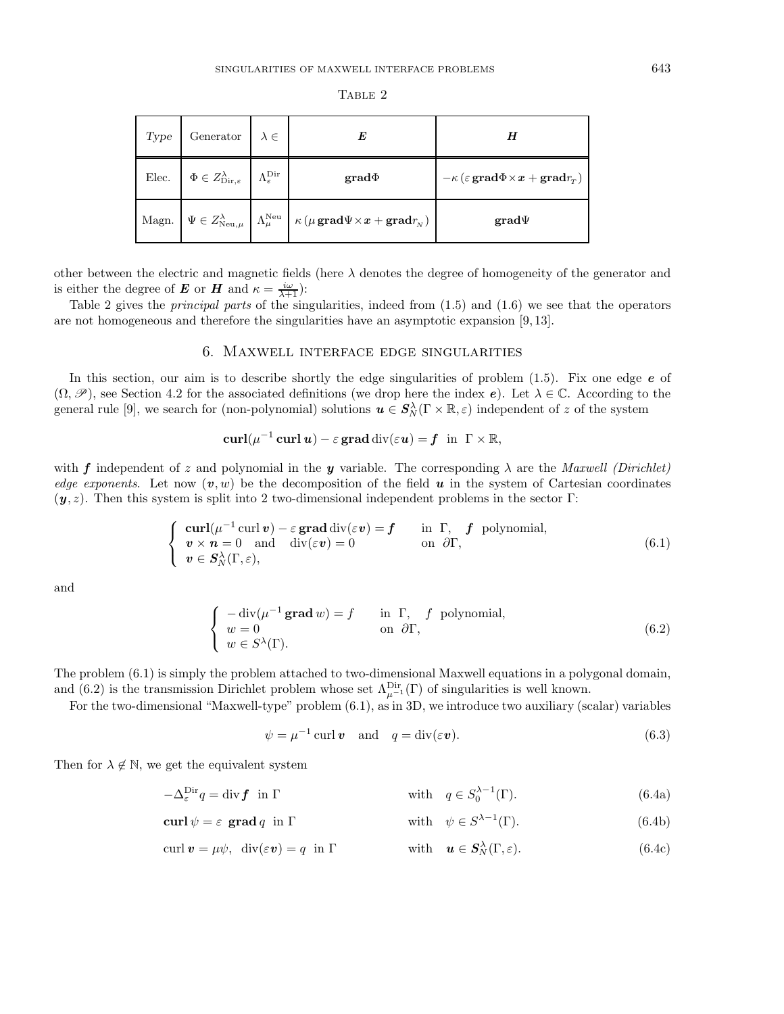| Type | Generator $\lambda \in$                                                                                     |                                                                                                                                                                                     | H                                                                                                                                   |
|------|-------------------------------------------------------------------------------------------------------------|-------------------------------------------------------------------------------------------------------------------------------------------------------------------------------------|-------------------------------------------------------------------------------------------------------------------------------------|
|      | Elec. $\Phi \in Z_{\text{Dir},\varepsilon}^{\lambda}$ $\left  \right.$ $\Lambda_{\varepsilon}^{\text{Dir}}$ | $grad \Phi$                                                                                                                                                                         | $-\kappa\left(\varepsilon\mathop{\mathbf{grad}}\nolimits\Phi\times\bm{x}+\mathop{\mathbf{grad}}\nolimits r_{_{\mathcal{T}}}\right)$ |
|      |                                                                                                             | Magn. $\Psi \in Z^{\lambda}_{\text{Neu},\mu}$ $\left[ \Lambda^{\text{Neu}}_{\mu} \; \right] \kappa \left( \mu \, \text{grad} \Psi \times \bm{x} + \text{grad} r_{\text{N}} \right)$ | $\mathbf{grad}\Psi$                                                                                                                 |

TABLE 2

other between the electric and magnetic fields (here  $\lambda$  denotes the degree of homogeneity of the generator and is either the degree of *E* or *H* and  $\kappa = \frac{i\omega}{\lambda+1}$ :

Table 2 gives the principal parts of the singularities, indeed from (1.5) and (1.6) we see that the operators are not homogeneous and therefore the singularities have an asymptotic expansion [9, 13].

# 6. Maxwell interface edge singularities

In this section, our aim is to describe shortly the edge singularities of problem (1.5). Fix one edge *e* of  $(\Omega, \mathscr{P})$ , see Section 4.2 for the associated definitions (we drop here the index *e*). Let  $\lambda \in \mathbb{C}$ . According to the general rule [9], we search for (non-polynomial) solutions  $u \in S_N^{\lambda}(\Gamma \times \mathbb{R}, \varepsilon)$  independent of z of the system

$$
\operatorname{curl}(\mu^{-1}\operatorname{curl}\boldsymbol{u})-\varepsilon\operatorname{grad}\operatorname{div}(\varepsilon\boldsymbol{u})=\boldsymbol{f}\ \ \text{in}\ \ \Gamma\times\mathbb{R},
$$

with *f* independent of z and polynomial in the *y* variable. The corresponding  $\lambda$  are the *Maxwell (Dirichlet)* edge exponents. Let now  $(v, w)$  be the decomposition of the field  $u$  in the system of Cartesian coordinates  $(y, z)$ . Then this system is split into 2 two-dimensional independent problems in the sector Γ:

$$
\begin{cases}\n\operatorname{curl}(\mu^{-1}\operatorname{curl}\mathbf{v}) - \varepsilon \operatorname{grad} \operatorname{div}(\varepsilon \mathbf{v}) = \mathbf{f} & \text{in } \Gamma, \quad \mathbf{f} \text{ polynomial,} \\
\mathbf{v} \times \mathbf{n} = 0 \quad \text{and} \quad \operatorname{div}(\varepsilon \mathbf{v}) = 0 & \text{on } \partial \Gamma, \\
\mathbf{v} \in \mathbf{S}_N^{\lambda}(\Gamma, \varepsilon),\n\end{cases} \tag{6.1}
$$

and

$$
\begin{cases}\n-\text{div}(\mu^{-1}\,\mathbf{grad}\,w) = f & \text{in }\Gamma, \quad f \text{ polynomial,} \\
w = 0 & \text{on }\partial\Gamma, \\
w \in S^{\lambda}(\Gamma).\n\end{cases}
$$
\n(6.2)

The problem (6.1) is simply the problem attached to two-dimensional Maxwell equations in a polygonal domain, and (6.2) is the transmission Dirichlet problem whose set  $\Lambda_{\mu^{-1}}^{\text{Dir}}(\Gamma)$  of singularities is well known.

For the two-dimensional "Maxwell-type" problem (6.1), as in 3D, we introduce two auxiliary (scalar) variables

$$
\psi = \mu^{-1} \operatorname{curl} \mathbf{v} \quad \text{and} \quad q = \operatorname{div}(\varepsilon \mathbf{v}). \tag{6.3}
$$

Then for  $\lambda \notin \mathbb{N}$ , we get the equivalent system

 $-\Delta_{\varepsilon}^{\text{Dir}}q = \text{div}\,\mathbf{f}$  in  $\Gamma$  $e^{\text{Dir}}q = \text{div}\mathbf{f}$  in Γ with  $q \in S_0^{\lambda-1}(\Gamma)$ . (6.4a)

**curl**  $\psi = \varepsilon$  **grad** q in Γ with  $\psi \in S^{\lambda-1}(\Gamma)$ . (6.4b)

$$
\operatorname{curl} \mathbf{v} = \mu \psi, \quad \operatorname{div}(\varepsilon \mathbf{v}) = q \quad \text{in } \Gamma \qquad \qquad \text{with} \quad \mathbf{u} \in \mathbf{S}_N^{\lambda}(\Gamma, \varepsilon). \tag{6.4c}
$$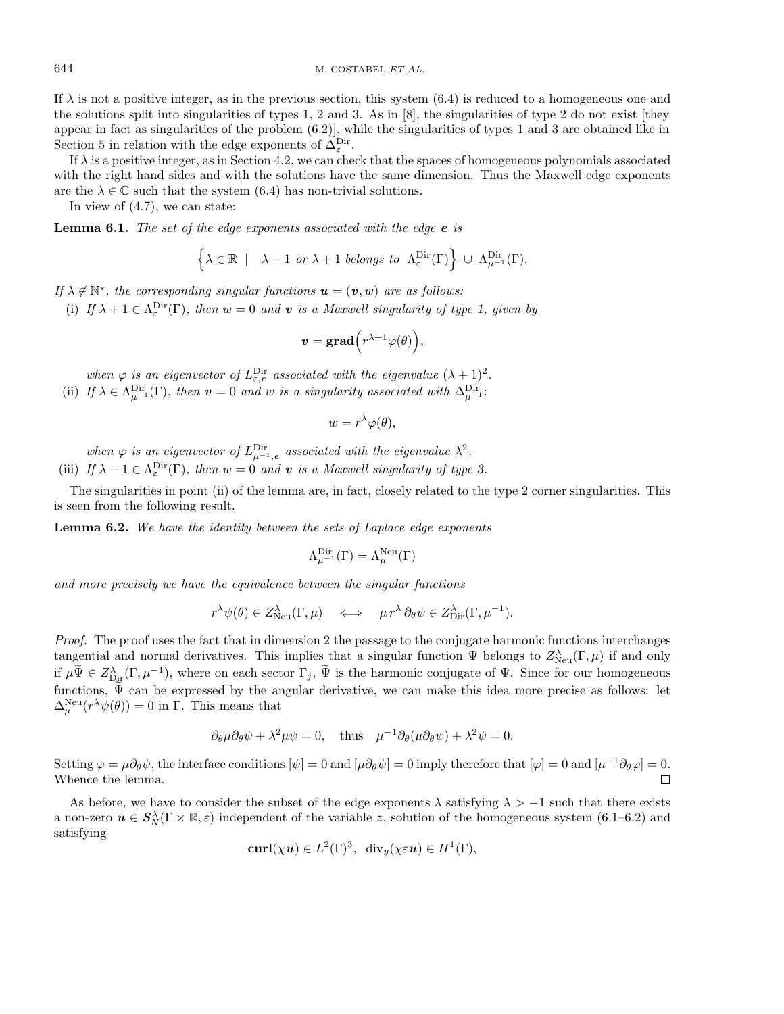644 M. COSTABEL ET AL.

If  $\lambda$  is not a positive integer, as in the previous section, this system (6.4) is reduced to a homogeneous one and the solutions split into singularities of types 1, 2 and 3. As in [8], the singularities of type 2 do not exist [they appear in fact as singularities of the problem (6.2)], while the singularities of types 1 and 3 are obtained like in Section 5 in relation with the edge exponents of  $\Delta_{\varepsilon}^{\text{Dir}}$ .

If  $\lambda$  is a positive integer, as in Section 4.2, we can check that the spaces of homogeneous polynomials associated with the right hand sides and with the solutions have the same dimension. Thus the Maxwell edge exponents are the  $\lambda \in \mathbb{C}$  such that the system (6.4) has non-trivial solutions.

In view of (4.7), we can state:

**Lemma 6.1.** The set of the edge exponents associated with the edge *e* is

$$
\left\{\lambda \in \mathbb{R} \ | \ \lambda - 1 \text{ or } \lambda + 1 \text{ belongs to } \Lambda^{\text{Dir}}_{\varepsilon}(\Gamma) \right\} \ \cup \ \Lambda^{\text{Dir}}_{\mu^{-1}}(\Gamma).
$$

If  $\lambda \notin \mathbb{N}^*$ , the corresponding singular functions  $\mathbf{u} = (\mathbf{v}, w)$  are as follows: (i) If  $\lambda + 1 \in \Lambda^{\text{Dir}}_{\varepsilon}(\Gamma)$ , then  $w = 0$  and **v** is a Maxwell singularity of type 1, given by

$$
\boldsymbol{v}=\mathbf{grad}\Big(r^{\lambda+1}\varphi(\theta)\Big),
$$

when  $\varphi$  is an eigenvector of  $L_{\varepsilon,\epsilon}^{\text{Dir}}$  associated with the eigenvalue  $(\lambda + 1)^2$ . (ii) If  $\lambda \in \Lambda^{\text{Dir}}_{\mu^{-1}}(\Gamma)$ , then  $\boldsymbol{v} = 0$  and w is a singularity associated with  $\Delta^{\text{Dir}}_{\mu^{-1}}$ :

$$
w = r^{\lambda} \varphi(\theta),
$$

when  $\varphi$  is an eigenvector of  $L_{\mu^{-1},e}^{\text{Dir}}$  associated with the eigenvalue  $\lambda^2$ . (iii) If  $\lambda - 1 \in \Lambda_{\varepsilon}^{\text{Dir}}(\Gamma)$ , then  $w = 0$  and **v** is a Maxwell singularity of type 3.

The singularities in point (ii) of the lemma are, in fact, closely related to the type 2 corner singularities. This is seen from the following result.

**Lemma 6.2.** We have the identity between the sets of Laplace edge exponents

$$
\Lambda^{\mathrm{Dir}}_{\mu^{-1}}(\Gamma)=\Lambda^{\mathrm{Neu}}_\mu(\Gamma)
$$

and more precisely we have the equivalence between the singular functions

$$
r^{\lambda}\psi(\theta) \in Z^{\lambda}_{\text{Neu}}(\Gamma,\mu) \iff \mu r^{\lambda} \partial_{\theta} \psi \in Z^{\lambda}_{\text{Dir}}(\Gamma,\mu^{-1}).
$$

Proof. The proof uses the fact that in dimension 2 the passage to the conjugate harmonic functions interchanges tangential and normal derivatives. This implies that a singular function  $\Psi$  belongs to  $Z_{\text{Neu}}^{\lambda}(\Gamma,\mu)$  if and only if  $\mu \tilde{\Psi} \in Z_{\text{Dir}}^{\lambda}(\Gamma, \mu^{-1}),$  where on each sector  $\Gamma_j$ ,  $\tilde{\Psi}$  is the harmonic conjugate of  $\Psi$ . Since for our homogeneous functions,  $\widetilde{\Psi}$  can be expressed by the angular derivative, we can make this idea more precise as follows: let  $\Delta_{\mu}^{\text{Neu}}(r^{\lambda}\psi(\theta))=0$  in  $\Gamma$ . This means that

$$
\partial_{\theta} \mu \partial_{\theta} \psi + \lambda^2 \mu \psi = 0
$$
, thus  $\mu^{-1} \partial_{\theta} (\mu \partial_{\theta} \psi) + \lambda^2 \psi = 0$ .

Setting  $\varphi = \mu \partial_{\theta} \psi$ , the interface conditions  $[\psi] = 0$  and  $[\mu \partial_{\theta} \psi] = 0$  imply therefore that  $[\varphi] = 0$  and  $[\mu^{-1} \partial_{\theta} \varphi] = 0$ . Whence the lemma.  $\Box$ 

As before, we have to consider the subset of the edge exponents  $\lambda$  satisfying  $\lambda > -1$  such that there exists a non-zero  $u \in S_N^{\lambda}(\Gamma \times \mathbb{R}, \varepsilon)$  independent of the variable z, solution of the homogeneous system (6.1–6.2) and satisfying

$$
\mathbf{curl}(\chi \mathbf{u}) \in L^2(\Gamma)^3, \ \ \mathrm{div}_y(\chi \varepsilon \mathbf{u}) \in H^1(\Gamma),
$$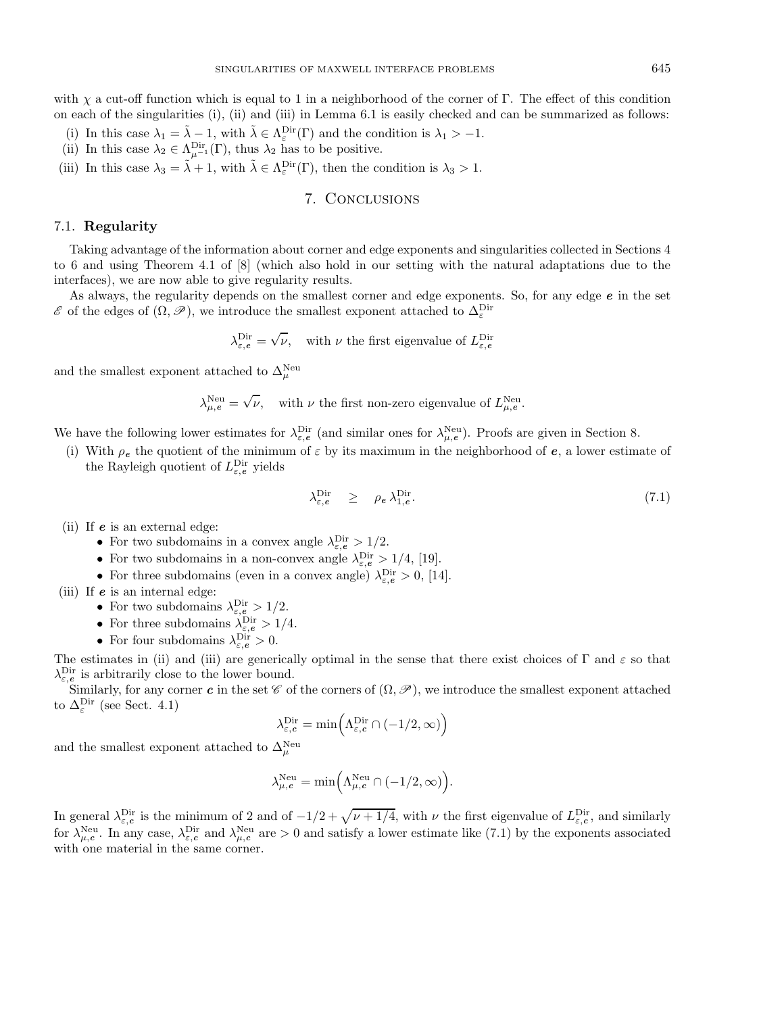with  $\chi$  a cut-off function which is equal to 1 in a neighborhood of the corner of Γ. The effect of this condition on each of the singularities (i), (ii) and (iii) in Lemma 6.1 is easily checked and can be summarized as follows:

- (i) In this case  $\lambda_1 = \tilde{\lambda} 1$ , with  $\tilde{\lambda} \in \Lambda_{\varepsilon}^{\text{Dir}}(\Gamma)$  and the condition is  $\lambda_1 > -1$ .
- (ii) In this case  $\lambda_2 \in \Lambda_{\mu^{-1}}^{\text{Dir}}(\Gamma)$ , thus  $\lambda_2$  has to be positive.
- (iii) In this case  $\lambda_3 = \tilde{\lambda} + 1$ , with  $\tilde{\lambda} \in \Lambda_{\varepsilon}^{\text{Dir}}(\Gamma)$ , then the condition is  $\lambda_3 > 1$ .

# 7. Conclusions

## 7.1. **Regularity**

Taking advantage of the information about corner and edge exponents and singularities collected in Sections 4 to 6 and using Theorem 4.1 of [8] (which also hold in our setting with the natural adaptations due to the interfaces), we are now able to give regularity results.

As always, the regularity depends on the smallest corner and edge exponents. So, for any edge *e* in the set  $\mathscr E$  of the edges of  $(\Omega, \mathscr P)$ , we introduce the smallest exponent attached to  $\Delta^{\mathrm{Dir}}_{\varepsilon}$ 

$$
\lambda_{\varepsilon,e}^{\text{Dir}} = \sqrt{\nu}, \quad \text{with } \nu \text{ the first eigenvalue of } L_{\varepsilon,e}^{\text{Dir}}
$$

and the smallest exponent attached to  $\Delta_\mu^{\rm Neu}$ 

$$
\lambda_{\mu,e}^{\text{Neu}} = \sqrt{\nu}, \quad \text{with } \nu \text{ the first non-zero eigenvalue of } L_{\mu,e}^{\text{Neu}}.
$$

We have the following lower estimates for  $\lambda_{\varepsilon,e}^{\text{Dir}}$  (and similar ones for  $\lambda_{\mu,e}^{\text{Neu}}$ ). Proofs are given in Section 8.

(i) With  $\rho_e$  the quotient of the minimum of  $\varepsilon$  by its maximum in the neighborhood of  $e$ , a lower estimate of the Rayleigh quotient of  $L_{\varepsilon,e}^{\text{Dir}}$  yields

$$
\lambda_{\varepsilon,e}^{\text{Dir}} \ge \rho_e \,\lambda_{1,e}^{\text{Dir}}.\tag{7.1}
$$

(ii) If *e* is an external edge:

- For two subdomains in a convex angle  $\lambda_{\varepsilon,e}^{\text{Dir}} > 1/2$ .
- For two subdomains in a non-convex angle  $\lambda_{\varepsilon,e}^{\text{Dir}} > 1/4$ , [19].
- For three subdomains (even in a convex angle)  $\lambda_{\varepsilon,e}^{\text{Dir}} > 0$ , [14].

(iii) If *e* is an internal edge:

- For two subdomains  $\lambda_{\varepsilon,e}^{\text{Dir}} > 1/2$ .
- For three subdomains  $\lambda_{\varepsilon,e}^{\text{Dir}} > 1/4$ .
- For four subdomains  $\lambda_{\varepsilon,e}^{\text{Dir}} > 0$ .

The estimates in (ii) and (iii) are generically optimal in the sense that there exist choices of  $\Gamma$  and  $\varepsilon$  so that  $\lambda_{\varepsilon,\epsilon}^{\text{Dir}}$  is arbitrarily close to the lower bound.

Similarly, for any corner *c* in the set  $\mathscr C$  of the corners of  $(\Omega, \mathscr P)$ , we introduce the smallest exponent attached to  $\Delta_{\varepsilon}^{\text{Dir}}$  (see Sect. 4.1)

$$
\lambda_{\varepsilon, \mathbf{c}}^{\mathrm{Dir}} = \min \Bigl( \Lambda_{\varepsilon, \mathbf{c}}^{\mathrm{Dir}} \cap (-1/2, \infty) \Bigr)
$$

and the smallest exponent attached to  $\Delta_\mu^{\rm Neu}$ 

$$
\lambda_{\mu, c}^{\textnormal{Neu}} = \min \Bigl( \Lambda_{\mu, c}^{\textnormal{Neu}} \cap (-1/2, \infty) \Bigr).
$$

In general  $\lambda_{\varepsilon,c}^{\text{Dir}}$  is the minimum of 2 and of  $-1/2+\sqrt{\nu+1/4}$ , with  $\nu$  the first eigenvalue of  $L_{\varepsilon,c}^{\text{Dir}}$ , and similarly for  $\lambda_{\mu,c}^{\text{Neu}}$ . In any case,  $\lambda_{\varepsilon,c}^{\text{Dir}}$  and  $\lambda_{\mu,c}^{\text{Neu}}$  are  $>0$  and satisfy a lower estimate like (7.1) by the exponents associated with one material in the same corner.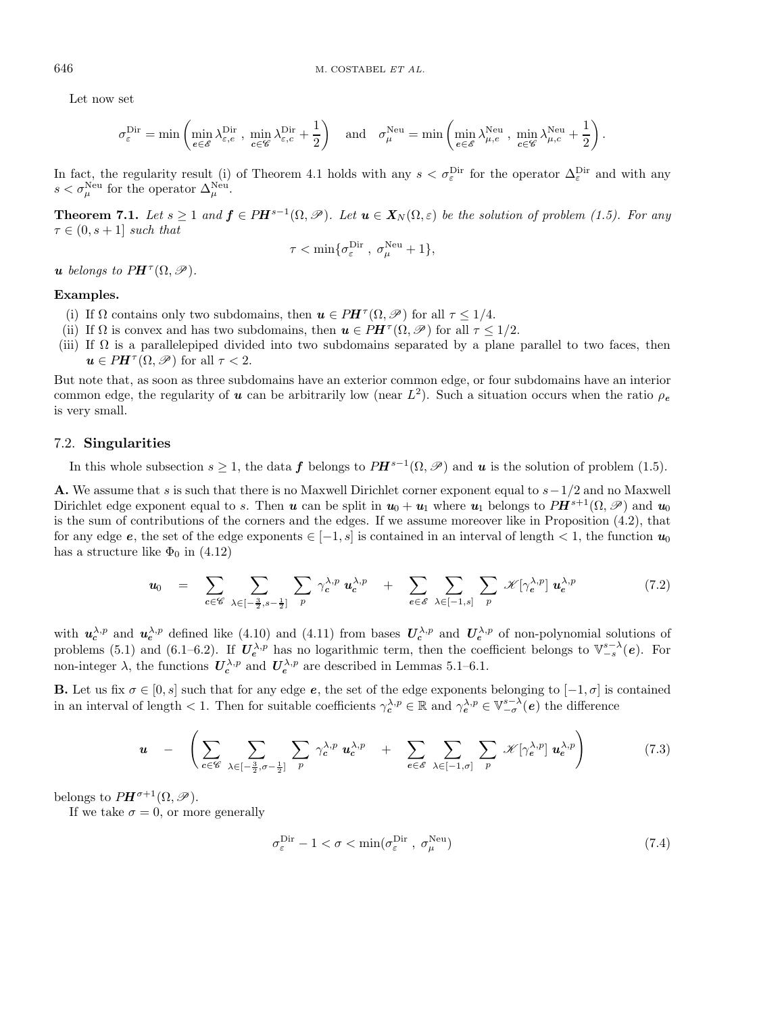Let now set

$$
\sigma_\varepsilon^{\text{Dir}} = \min\left( \min_{e \in \mathscr{E}} \lambda_{\varepsilon,e}^{\text{Dir}} \ , \ \min_{e \in \mathscr{C}} \lambda_{\varepsilon,c}^{\text{Dir}} + \frac{1}{2} \right) \quad \text{and} \quad \sigma_\mu^{\text{Neu}} = \min\left( \min_{e \in \mathscr{E}} \lambda_{\mu,e}^{\text{Neu}} \ , \ \min_{e \in \mathscr{C}} \lambda_{\mu,c}^{\text{Neu}} + \frac{1}{2} \right).
$$

In fact, the regularity result (i) of Theorem 4.1 holds with any  $s < \sigma_{\varepsilon}^{\text{Dir}}$  for the operator  $\Delta_{\varepsilon}^{\text{Dir}}$  and with any  $s < \sigma_{\mu}^{\text{Neu}}$  for the operator  $\Delta_{\mu}^{\text{Neu}}$ .

**Theorem 7.1.** Let  $s \geq 1$  and  $f \in PH^{s-1}(\Omega, \mathcal{P})$ . Let  $u \in X_N(\Omega, \varepsilon)$  be the solution of problem (1.5). For any  $\tau \in (0, s+1]$  such that

$$
\tau < \min\{\sigma_{\varepsilon}^{\mathrm{Dir}}\;,\; \sigma_{\mu}^{\mathrm{Neu}} + 1\},
$$

*u* belongs to  $PH^{\tau}(\Omega, \mathscr{P}).$ 

### **Examples.**

- (i) If  $\Omega$  contains only two subdomains, then  $u \in PH^{\tau}(\Omega, \mathscr{P})$  for all  $\tau \leq 1/4$ .
- (ii) If  $\Omega$  is convex and has two subdomains, then  $u \in PH^{\tau}(\Omega, \mathscr{P})$  for all  $\tau \leq 1/2$ .
- (iii) If  $\Omega$  is a parallelepiped divided into two subdomains separated by a plane parallel to two faces, then  $u \in PH^{\tau}(\Omega, \mathscr{P})$  for all  $\tau < 2$ .

But note that, as soon as three subdomains have an exterior common edge, or four subdomains have an interior common edge, the regularity of *u* can be arbitrarily low (near  $L^2$ ). Such a situation occurs when the ratio  $\rho_e$ is very small.

# 7.2. **Singularities**

In this whole subsection  $s > 1$ , the data *f* belongs to  $PH^{s-1}(\Omega, \mathcal{P})$  and *u* is the solution of problem (1.5).

**A.** We assume that s is such that there is no Maxwell Dirichlet corner exponent equal to  $s-1/2$  and no Maxwell Dirichlet edge exponent equal to s. Then *u* can be split in  $u_0 + u_1$  where  $u_1$  belongs to  $PH^{s+1}(\Omega, \mathscr{P})$  and  $u_0$ is the sum of contributions of the corners and the edges. If we assume moreover like in Proposition (4.2), that for any edge *e*, the set of the edge exponents  $\in [-1, s]$  is contained in an interval of length  $\lt 1$ , the function  $u_0$ has a structure like  $\Phi_0$  in (4.12)

$$
\mathbf{u}_0 = \sum_{c \in \mathscr{C}} \sum_{\lambda \in [-\frac{3}{2}, s - \frac{1}{2}]} \sum_p \gamma_c^{\lambda, p} \mathbf{u}_c^{\lambda, p} + \sum_{e \in \mathscr{E}} \sum_{\lambda \in [-1, s]} \sum_p \mathscr{K}[\gamma_e^{\lambda, p}] \mathbf{u}_e^{\lambda, p}
$$
(7.2)

with  $u_c^{\lambda,p}$  and  $u_e^{\lambda,p}$  defined like (4.10) and (4.11) from bases  $U_c^{\lambda,p}$  and  $U_e^{\lambda,p}$  of non-polynomial solutions of problems (5.1) and (6.1–6.2). If  $U_e^{\lambda,p}$  has no logarithmic term, then the coefficient belongs to  $\mathbb{V}_{-s}^{s-\lambda}(e)$ . For non-integer  $\lambda$ , the functions  $U_c^{\lambda,p}$  and  $U_e^{\lambda,p}$  are described in Lemmas 5.1–6.1.

**B.** Let us fix  $\sigma \in [0, s]$  such that for any edge  $e$ , the set of the edge exponents belonging to  $[-1, \sigma]$  is contained in an interval of length  $\langle 1$ . Then for suitable coefficients  $\gamma_c^{\lambda,p} \in \mathbb{R}$  and  $\gamma_e^{\lambda,p} \in \mathbb{V}_{-\sigma}^{s-\lambda}(e)$  the difference

$$
\boldsymbol{u} \quad - \quad \left( \sum_{c \in \mathscr{C}} \sum_{\lambda \in [-\frac{3}{2}, \sigma - \frac{1}{2}]} \sum_{p} \gamma_c^{\lambda, p} \, \boldsymbol{u}_c^{\lambda, p} \quad + \quad \sum_{e \in \mathscr{E}} \sum_{\lambda \in [-1, \sigma]} \sum_{p} \mathscr{K}[\gamma_e^{\lambda, p}] \, \boldsymbol{u}_e^{\lambda, p} \right) \tag{7.3}
$$

belongs to  $PH^{\sigma+1}(\Omega,\mathscr{P})$ .

If we take  $\sigma = 0$ , or more generally

$$
\sigma_{\varepsilon}^{\text{Dir}} - 1 < \sigma < \min(\sigma_{\varepsilon}^{\text{Dir}} \,, \, \sigma_{\mu}^{\text{Neu}}) \tag{7.4}
$$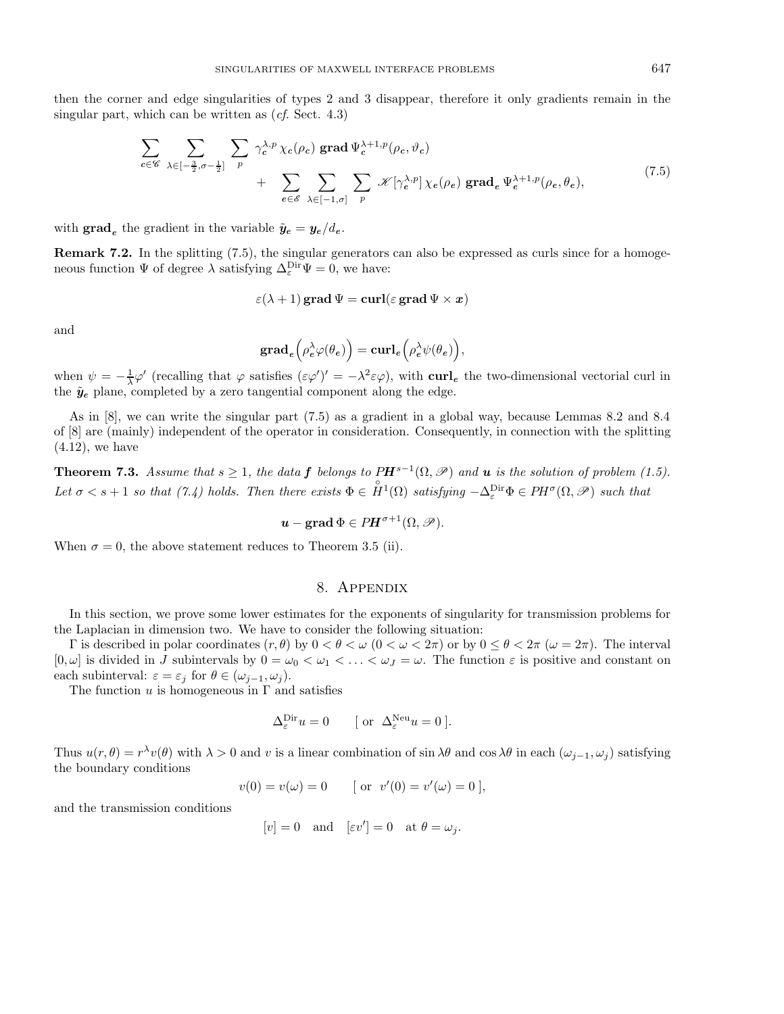then the corner and edge singularities of types 2 and 3 disappear, therefore it only gradients remain in the singular part, which can be written as  $(cf. Sect. 4.3)$ 

$$
\sum_{c \in \mathscr{C}} \sum_{\lambda \in [-\frac{3}{2}, \sigma - \frac{1}{2}]} \sum_{p} \gamma_c^{\lambda, p} \chi_c(\rho_c) \operatorname{grad} \Psi_c^{\lambda+1, p}(\rho_c, \vartheta_c) + \sum_{e \in \mathscr{E}} \sum_{\lambda \in [-1, \sigma]} \sum_{p} \mathscr{K}[\gamma_e^{\lambda, p}] \chi_e(\rho_e) \operatorname{grad}_e \Psi_e^{\lambda+1, p}(\rho_e, \theta_e), \tag{7.5}
$$

with  $\mathbf{grad}_e$  the gradient in the variable  $\tilde{\mathbf{y}}_e = \mathbf{y}_e / d_e$ .

**Remark 7.2.** In the splitting (7.5), the singular generators can also be expressed as curls since for a homogeneous function  $\Psi$  of degree  $\lambda$  satisfying  $\Delta_{\varepsilon}^{\text{Dir}}\Psi=0$ , we have:

$$
\varepsilon(\lambda+1)\,\mathbf{grad}\,\Psi=\mathbf{curl}(\varepsilon\,\mathbf{grad}\,\Psi\times\mathbf{x})
$$

and

$$
\operatorname{grad}_e \Big( \rho_e^{\lambda} \varphi(\theta_e) \Big) = \operatorname{curl}_e \Big( \rho_e^{\lambda} \psi(\theta_e) \Big),
$$

when  $\psi = -\frac{1}{\lambda}\varphi'$  (recalling that  $\varphi$  satisfies  $(\varepsilon\varphi')' = -\lambda^2 \varepsilon\varphi$ ), with **curl**<sub>e</sub> the two-dimensional vectorial curl in the  $\tilde{y}_e$  plane, completed by a zero tangential component along the edge.

As in [8], we can write the singular part (7.5) as a gradient in a global way, because Lemmas 8.2 and 8.4 of [8] are (mainly) independent of the operator in consideration. Consequently, in connection with the splitting  $(4.12)$ , we have

**Theorem 7.3.** Assume that  $s \geq 1$ , the data **f** belongs to  $PH^{s-1}(\Omega, \mathcal{P})$  and **u** is the solution of problem (1.5). Let  $\sigma < s + 1$  so that (7.4) holds. Then there exists  $\Phi \in \overset{\circ}{H}{}^1(\Omega)$  satisfying  $-\Delta_{\varepsilon}^{\text{Dir}}\Phi \in PH^{\sigma}(\Omega, \mathscr{P})$  such that

$$
\mathbf{u}-\mathbf{grad}\,\Phi\in P\mathbf{H}^{\sigma+1}(\Omega,\mathscr{P}).
$$

When  $\sigma = 0$ , the above statement reduces to Theorem 3.5 (ii).

# 8. Appendix

In this section, we prove some lower estimates for the exponents of singularity for transmission problems for the Laplacian in dimension two. We have to consider the following situation:

Γ is described in polar coordinates  $(r, θ)$  by  $0 < θ < ω$   $(0 < ω < 2π)$  or by  $0 \le θ < 2π$   $(ω = 2π)$ . The interval  $[0,\omega]$  is divided in J subintervals by  $0=\omega_0<\omega_1<\ldots<\omega_J=\omega$ . The function  $\varepsilon$  is positive and constant on each subinterval:  $\varepsilon = \varepsilon_j$  for  $\theta \in (\omega_{j-1}, \omega_j)$ .

The function  $u$  is homogeneous in  $\Gamma$  and satisfies

$$
\Delta_{\varepsilon}^{\text{Dir}} u = 0 \qquad [ \text{ or } \Delta_{\varepsilon}^{\text{Neu}} u = 0 ].
$$

Thus  $u(r, \theta) = r^{\lambda}v(\theta)$  with  $\lambda > 0$  and v is a linear combination of sin  $\lambda\theta$  and cos  $\lambda\theta$  in each  $(\omega_{j-1}, \omega_j)$  satisfying the boundary conditions

$$
v(0) = v(\omega) = 0
$$
 [ or  $v'(0) = v'(\omega) = 0$ ],

and the transmission conditions

$$
[v] = 0
$$
 and  $[\varepsilon v'] = 0$  at  $\theta = \omega_j$ .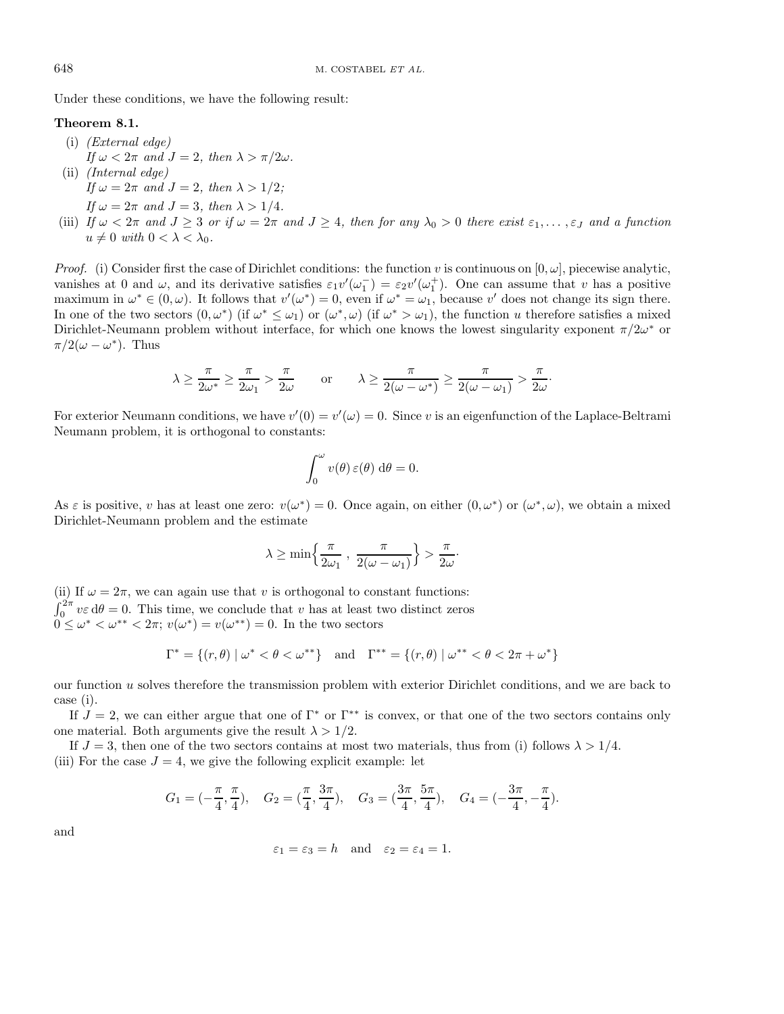Under these conditions, we have the following result:

# **Theorem 8.1.**

- (i) (External edge) If  $\omega < 2\pi$  and  $J = 2$ , then  $\lambda > \pi/2\omega$ . (ii) (Internal edge) If  $\omega = 2\pi$  and  $J = 2$ , then  $\lambda > 1/2$ ;
	- If  $\omega = 2\pi$  and  $J = 3$ , then  $\lambda > 1/4$ .
- (iii) If  $\omega < 2\pi$  and  $J \geq 3$  or if  $\omega = 2\pi$  and  $J \geq 4$ , then for any  $\lambda_0 > 0$  there exist  $\varepsilon_1, \ldots, \varepsilon_J$  and a function  $u \neq 0$  with  $0 < \lambda < \lambda_0$ .

*Proof.* (i) Consider first the case of Dirichlet conditions: the function v is continuous on  $[0, \omega]$ , piecewise analytic, vanishes at 0 and  $\omega$ , and its derivative satisfies  $\varepsilon_1v'(\omega_1^-) = \varepsilon_2v'(\omega_1^+)$ . One can assume that v has a positive maximum in  $\omega^* \in (0, \omega)$ . It follows that  $v'(\omega^*) = 0$ , even if  $\omega^* = \omega_1$ , because v' does not change its sign there. In one of the two sectors  $(0, \omega^*)$  (if  $\omega^* \leq \omega_1$ ) or  $(\omega^*, \omega)$  (if  $\omega^* > \omega_1$ ), the function u therefore satisfies a mixed Dirichlet-Neumann problem without interface, for which one knows the lowest singularity exponent  $\pi/2\omega^*$  or  $\pi/2(\omega - \omega^*)$ . Thus

$$
\lambda \ge \frac{\pi}{2\omega^*} \ge \frac{\pi}{2\omega_1} > \frac{\pi}{2\omega} \quad \text{or} \quad \lambda \ge \frac{\pi}{2(\omega - \omega^*)} \ge \frac{\pi}{2(\omega - \omega_1)} > \frac{\pi}{2\omega}.
$$

For exterior Neumann conditions, we have  $v'(0) = v'(\omega) = 0$ . Since v is an eigenfunction of the Laplace-Beltrami Neumann problem, it is orthogonal to constants:

$$
\int_0^\omega v(\theta)\,\varepsilon(\theta)\,\mathrm{d}\theta=0.
$$

As  $\varepsilon$  is positive, v has at least one zero:  $v(\omega^*) = 0$ . Once again, on either  $(0, \omega^*)$  or  $(\omega^*, \omega)$ , we obtain a mixed Dirichlet-Neumann problem and the estimate

$$
\lambda \ge \min\left\{\frac{\pi}{2\omega_1}, \frac{\pi}{2(\omega - \omega_1)}\right\} > \frac{\pi}{2\omega}.
$$

(ii) If  $\omega = 2\pi$ , we can again use that v is orthogonal to constant functions:  $\int_0^{2\pi} v \varepsilon d\theta = 0$ . This time, we conclude that v has at least two distinct zeros  $0 \leq \omega^* < \omega^{**} < 2\pi$ ;  $v(\omega^*) = v(\omega^{**}) = 0$ . In the two sectors

$$
\Gamma^* = \{ (r, \theta) \mid \omega^* < \theta < \omega^{**} \} \quad \text{and} \quad \Gamma^{**} = \{ (r, \theta) \mid \omega^{**} < \theta < 2\pi + \omega^* \}
$$

our function u solves therefore the transmission problem with exterior Dirichlet conditions, and we are back to case (i).

If  $J = 2$ , we can either argue that one of  $\Gamma^*$  or  $\Gamma^{**}$  is convex, or that one of the two sectors contains only one material. Both arguments give the result  $\lambda > 1/2$ .

If  $J = 3$ , then one of the two sectors contains at most two materials, thus from (i) follows  $\lambda > 1/4$ . (iii) For the case  $J = 4$ , we give the following explicit example: let

$$
G_1 = \left(-\frac{\pi}{4}, \frac{\pi}{4}\right), \quad G_2 = \left(\frac{\pi}{4}, \frac{3\pi}{4}\right), \quad G_3 = \left(\frac{3\pi}{4}, \frac{5\pi}{4}\right), \quad G_4 = \left(-\frac{3\pi}{4}, -\frac{\pi}{4}\right).
$$

and

$$
\varepsilon_1 = \varepsilon_3 = h
$$
 and  $\varepsilon_2 = \varepsilon_4 = 1$ .